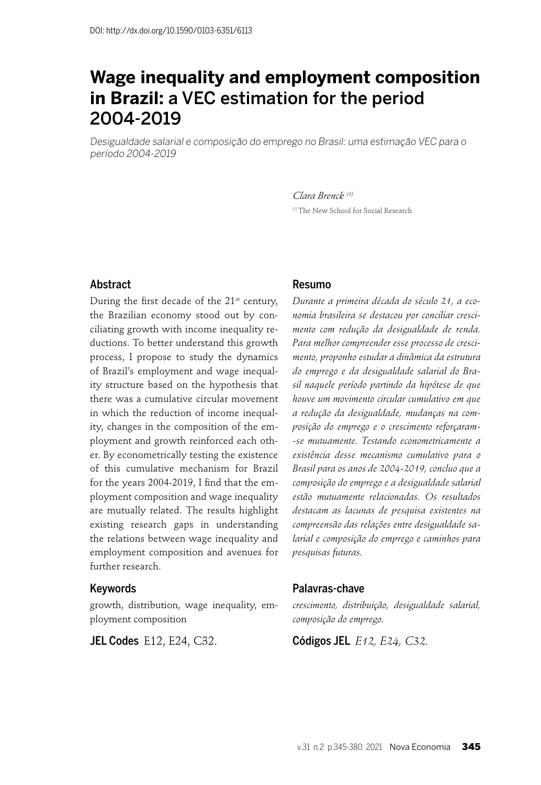# **Wage inequality and employment composition in Brazil:** a VEC estimation for the period 2004-2019

Desigualdade salarial e composição do emprego no Brasil: uma estimação VEC para o período 2004-2019

> *Clara Brenck (1)* (1) The New School for Social Research

#### Abstract

During the first decade of the 21<sup>st</sup> century, the Brazilian economy stood out by conciliating growth with income inequality reductions. To better understand this growth process, I propose to study the dynamics of Brazil's employment and wage inequality structure based on the hypothesis that there was a cumulative circular movement in which the reduction of income inequality, changes in the composition of the employment and growth reinforced each other. By econometrically testing the existence of this cumulative mechanism for Brazil for the years 2004-2019, I find that the employment composition and wage inequality are mutually related. The results highlight existing research gaps in understanding the relations between wage inequality and employment composition and avenues for further research.

#### Keywords

growth, distribution, wage inequality, employment composition

JEL Codes E12, E24, C32.

#### Resumo

*Durante a primeira década do século 21, a economia brasileira se destacou por conciliar crescimento com redução da desigualdade de renda. Para melhor compreender esse processo de crescimento, proponho estudar a dinâmica da estrutura do emprego e da desigualdade salarial do Brasil naquele período partindo da hipótese de que houve um movimento circular cumulativo em que a redução da desigualdade, mudanças na composição do emprego e o crescimento reforçaram- -se mutuamente. Testando econometricamente a existência desse mecanismo cumulativo para o Brasil para os anos de 2004-2019, concluo que a composição do emprego e a desigualdade salarial estão mutuamente relacionadas. Os resultados destacam as lacunas de pesquisa existentes na compreensão das relações entre desigualdade salarial e composição do emprego e caminhos para pesquisas futuras.*

#### Palavras-chave

*crescimento, distribuição, desigualdade salarial, composição do emprego.*

Códigos JEL *E12, E24, C32.*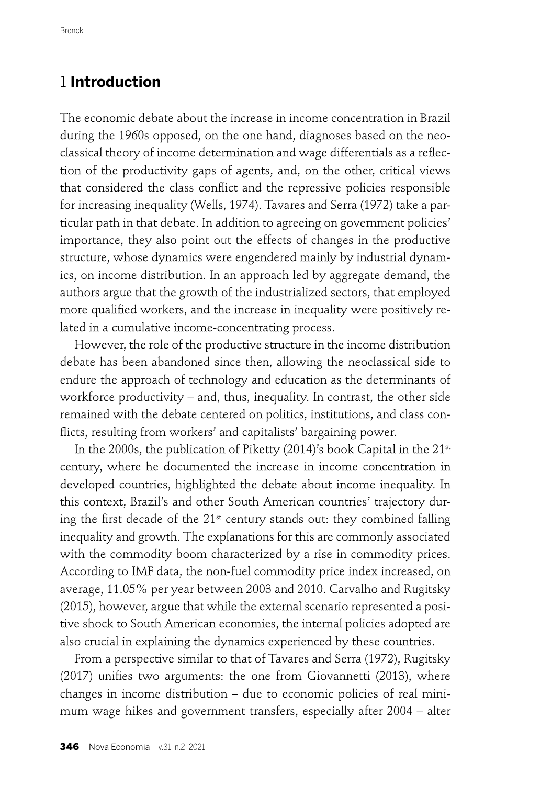## 1 **Introduction**

The economic debate about the increase in income concentration in Brazil during the 1960s opposed, on the one hand, diagnoses based on the neoclassical theory of income determination and wage differentials as a reflection of the productivity gaps of agents, and, on the other, critical views that considered the class conflict and the repressive policies responsible for increasing inequality (Wells, 1974). Tavares and Serra (1972) take a particular path in that debate. In addition to agreeing on government policies' importance, they also point out the effects of changes in the productive structure, whose dynamics were engendered mainly by industrial dynamics, on income distribution. In an approach led by aggregate demand, the authors argue that the growth of the industrialized sectors, that employed more qualified workers, and the increase in inequality were positively related in a cumulative income-concentrating process.

However, the role of the productive structure in the income distribution debate has been abandoned since then, allowing the neoclassical side to endure the approach of technology and education as the determinants of workforce productivity – and, thus, inequality. In contrast, the other side remained with the debate centered on politics, institutions, and class conflicts, resulting from workers' and capitalists' bargaining power.

In the 2000s, the publication of Piketty (2014)'s book Capital in the  $21^{st}$ century, where he documented the increase in income concentration in developed countries, highlighted the debate about income inequality. In this context, Brazil's and other South American countries' trajectory during the first decade of the  $21<sup>st</sup>$  century stands out: they combined falling inequality and growth. The explanations for this are commonly associated with the commodity boom characterized by a rise in commodity prices. According to IMF data, the non-fuel commodity price index increased, on average, 11.05% per year between 2003 and 2010. Carvalho and Rugitsky (2015), however, argue that while the external scenario represented a positive shock to South American economies, the internal policies adopted are also crucial in explaining the dynamics experienced by these countries.

From a perspective similar to that of Tavares and Serra (1972), Rugitsky  $(2017)$  unifies two arguments: the one from Giovannetti  $(2013)$ , where changes in income distribution – due to economic policies of real minimum wage hikes and government transfers, especially after 2004 – alter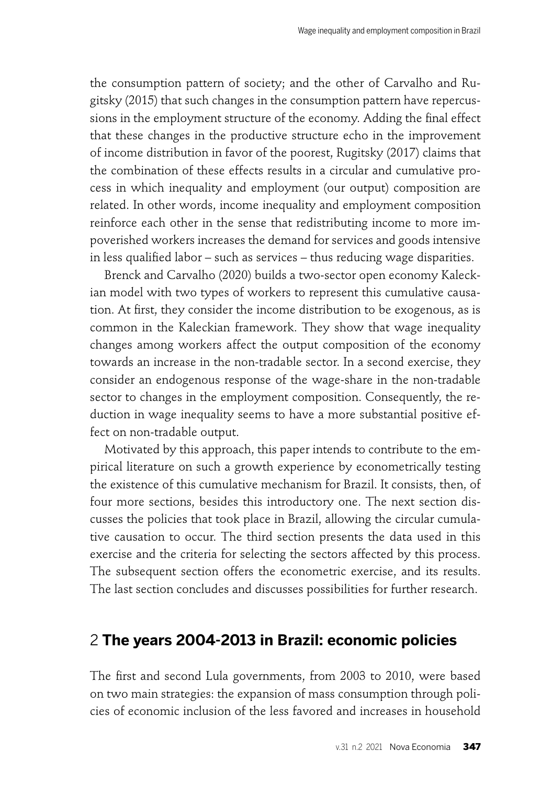the consumption pattern of society; and the other of Carvalho and Rugitsky (2015) that such changes in the consumption pattern have repercussions in the employment structure of the economy. Adding the final effect that these changes in the productive structure echo in the improvement of income distribution in favor of the poorest, Rugitsky (2017) claims that the combination of these effects results in a circular and cumulative process in which inequality and employment (our output) composition are related. In other words, income inequality and employment composition reinforce each other in the sense that redistributing income to more impoverished workers increases the demand for services and goods intensive in less qualified labor – such as services – thus reducing wage disparities.

Brenck and Carvalho (2020) builds a two-sector open economy Kaleckian model with two types of workers to represent this cumulative causation. At first, they consider the income distribution to be exogenous, as is common in the Kaleckian framework. They show that wage inequality changes among workers affect the output composition of the economy towards an increase in the non-tradable sector. In a second exercise, they consider an endogenous response of the wage-share in the non-tradable sector to changes in the employment composition. Consequently, the reduction in wage inequality seems to have a more substantial positive effect on non-tradable output.

Motivated by this approach, this paper intends to contribute to the empirical literature on such a growth experience by econometrically testing the existence of this cumulative mechanism for Brazil. It consists, then, of four more sections, besides this introductory one. The next section discusses the policies that took place in Brazil, allowing the circular cumulative causation to occur. The third section presents the data used in this exercise and the criteria for selecting the sectors affected by this process. The subsequent section offers the econometric exercise, and its results. The last section concludes and discusses possibilities for further research.

# 2 **The years 2004-2013 in Brazil: economic policies**

The first and second Lula governments, from 2003 to 2010, were based on two main strategies: the expansion of mass consumption through policies of economic inclusion of the less favored and increases in household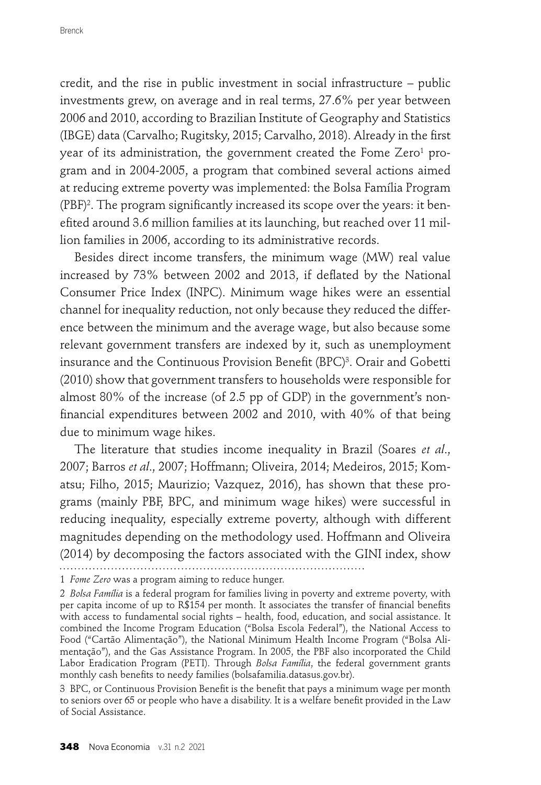credit, and the rise in public investment in social infrastructure – public investments grew, on average and in real terms, 27.6% per year between 2006 and 2010, according to Brazilian Institute of Geography and Statistics (IBGE) data (Carvalho; Rugitsky, 2015; Carvalho, 2018). Already in the first year of its administration, the government created the Fome Zero $^{\rm 1}$  program and in 2004-2005, a program that combined several actions aimed at reducing extreme poverty was implemented: the Bolsa Família Program (PBF)<sup>2</sup>. The program significantly increased its scope over the years: it benefited around 3.6 million families at its launching, but reached over 11 million families in 2006, according to its administrative records.

Besides direct income transfers, the minimum wage (MW) real value increased by 73% between 2002 and 2013, if deflated by the National Consumer Price Index (INPC). Minimum wage hikes were an essential channel for inequality reduction, not only because they reduced the difference between the minimum and the average wage, but also because some relevant government transfers are indexed by it, such as unemployment insurance and the Continuous Provision Benefit (BPC)<sup>3</sup>. Orair and Gobetti (2010) show that government transfers to households were responsible for almost 80% of the increase (of 2.5 pp of GDP) in the government's nonfinancial expenditures between 2002 and 2010, with 40% of that being due to minimum wage hikes.

The literature that studies income inequality in Brazil (Soares *et al*., 2007; Barros *et al*., 2007; Hoffmann; Oliveira, 2014; Medeiros, 2015; Komatsu; Filho, 2015; Maurizio; Vazquez, 2016), has shown that these programs (mainly PBF, BPC, and minimum wage hikes) were successful in reducing inequality, especially extreme poverty, although with different magnitudes depending on the methodology used. Hoffmann and Oliveira (2014) by decomposing the factors associated with the GINI index, show 

1 *Fome Zero* was a program aiming to reduce hunger.

<sup>2</sup> *Bolsa Família* is a federal program for families living in poverty and extreme poverty, with per capita income of up to R\$154 per month. It associates the transfer of financial benefits with access to fundamental social rights – health, food, education, and social assistance. It combined the Income Program Education ("Bolsa Escola Federal"), the National Access to Food ("Cartão Alimentação"), the National Minimum Health Income Program ("Bolsa Alimentação"), and the Gas Assistance Program. In 2005, the PBF also incorporated the Child Labor Eradication Program (PETI). Through *Bolsa Família*, the federal government grants monthly cash benefits to needy families (bolsafamilia.datasus.gov.br).

<sup>3</sup> BPC, or Continuous Provision Benefit is the benefit that pays a minimum wage per month to seniors over 65 or people who have a disability. It is a welfare benefit provided in the Law of Social Assistance.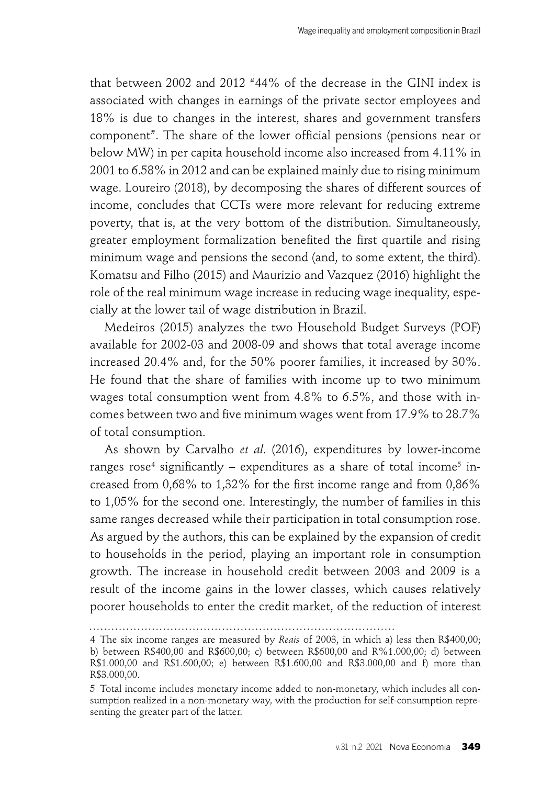that between 2002 and 2012 "44% of the decrease in the GINI index is associated with changes in earnings of the private sector employees and 18% is due to changes in the interest, shares and government transfers component". The share of the lower official pensions (pensions near or below MW) in per capita household income also increased from 4.11% in 2001 to 6.58% in 2012 and can be explained mainly due to rising minimum wage. Loureiro (2018), by decomposing the shares of different sources of income, concludes that CCTs were more relevant for reducing extreme poverty, that is, at the very bottom of the distribution. Simultaneously, greater employment formalization benefited the first quartile and rising minimum wage and pensions the second (and, to some extent, the third). Komatsu and Filho (2015) and Maurizio and Vazquez (2016) highlight the role of the real minimum wage increase in reducing wage inequality, especially at the lower tail of wage distribution in Brazil.

Medeiros (2015) analyzes the two Household Budget Surveys (POF) available for 2002-03 and 2008-09 and shows that total average income increased 20.4% and, for the 50% poorer families, it increased by 30%. He found that the share of families with income up to two minimum wages total consumption went from 4.8% to 6.5%, and those with incomes between two and five minimum wages went from 17.9% to 28.7% of total consumption.

As shown by Carvalho *et al*. (2016), expenditures by lower-income ranges rose<sup>4</sup> significantly – expenditures as a share of total income<sup>5</sup> increased from  $0.68\%$  to  $1.32\%$  for the first income range and from  $0.86\%$ to 1,05% for the second one. Interestingly, the number of families in this same ranges decreased while their participation in total consumption rose. As argued by the authors, this can be explained by the expansion of credit to households in the period, playing an important role in consumption growth. The increase in household credit between 2003 and 2009 is a result of the income gains in the lower classes, which causes relatively poorer households to enter the credit market, of the reduction of interest

<sup>4</sup> The six income ranges are measured by *Reais* of 2003, in which a) less then R\$400,00; b) between R\$400,00 and R\$600,00; c) between R\$600,00 and R%1.000,00; d) between R\$1.000,00 and R\$1.600,00; e) between R\$1.600,00 and R\$3.000,00 and f) more than R\$3.000,00.

<sup>5</sup> Total income includes monetary income added to non-monetary, which includes all consumption realized in a non-monetary way, with the production for self-consumption representing the greater part of the latter.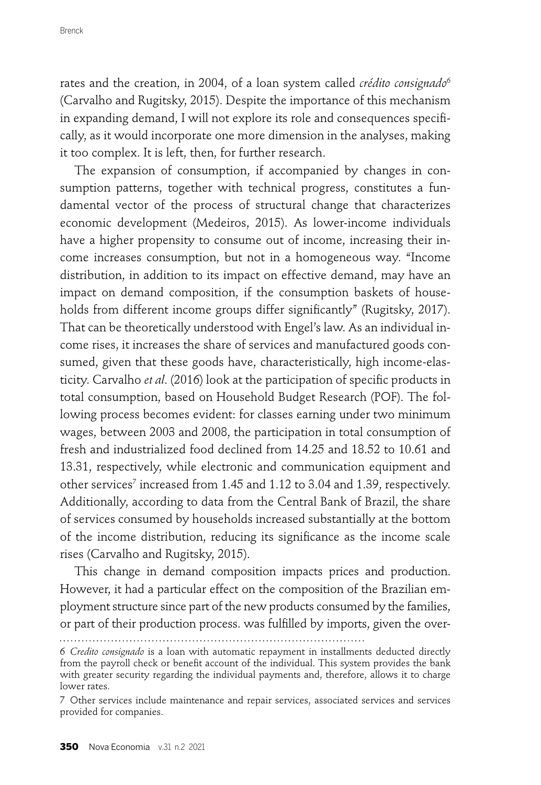rates and the creation, in 2004, of a loan system called *crédito consignado*<sup>6</sup> (Carvalho and Rugitsky, 2015). Despite the importance of this mechanism in expanding demand, I will not explore its role and consequences specifically, as it would incorporate one more dimension in the analyses, making it too complex. It is left, then, for further research.

The expansion of consumption, if accompanied by changes in consumption patterns, together with technical progress, constitutes a fundamental vector of the process of structural change that characterizes economic development (Medeiros, 2015). As lower-income individuals have a higher propensity to consume out of income, increasing their income increases consumption, but not in a homogeneous way. "Income distribution, in addition to its impact on effective demand, may have an impact on demand composition, if the consumption baskets of households from different income groups differ significantly" (Rugitsky, 2017). That can be theoretically understood with Engel's law. As an individual income rises, it increases the share of services and manufactured goods consumed, given that these goods have, characteristically, high income-elasticity. Carvalho *et al.* (2016) look at the participation of specific products in total consumption, based on Household Budget Research (POF). The following process becomes evident: for classes earning under two minimum wages, between 2003 and 2008, the participation in total consumption of fresh and industrialized food declined from 14.25 and 18.52 to 10.61 and 13.31, respectively, while electronic and communication equipment and other services<sup>7</sup> increased from 1.45 and 1.12 to 3.04 and 1.39, respectively. Additionally, according to data from the Central Bank of Brazil, the share of services consumed by households increased substantially at the bottom of the income distribution, reducing its significance as the income scale rises (Carvalho and Rugitsky, 2015).

This change in demand composition impacts prices and production. However, it had a particular effect on the composition of the Brazilian employment structure since part of the new products consumed by the families, or part of their production process. was fulfilled by imports, given the over-

<sup>6</sup> *Credito consignado* is a loan with automatic repayment in installments deducted directly from the payroll check or benefit account of the individual. This system provides the bank with greater security regarding the individual payments and, therefore, allows it to charge lower rates.

<sup>7</sup> Other services include maintenance and repair services, associated services and services provided for companies.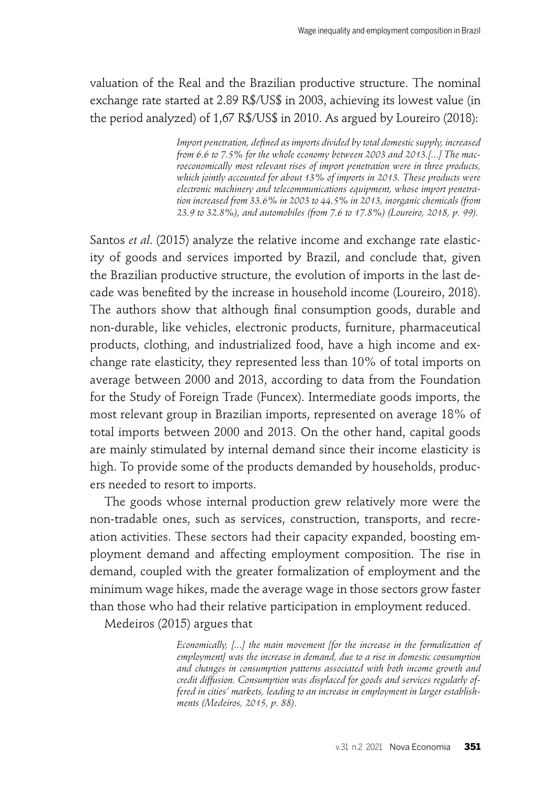valuation of the Real and the Brazilian productive structure. The nominal exchange rate started at 2.89 R\$/US\$ in 2003, achieving its lowest value (in the period analyzed) of 1,67 R\$/US\$ in 2010. As argued by Loureiro (2018):

> Import penetration, defined as imports divided by total domestic supply, increased *from 6.6 to 7.5% for the whole economy between 2003 and 2013.[...] The macroeconomically most relevant rises of import penetration were in three products, which jointly accounted for about 13% of imports in 2013. These products were electronic machinery and telecommunications equipment, whose import penetration increased from 33.6% in 2003 to 44.5% in 2013, inorganic chemicals (from 23.9 to 32.8%), and automobiles (from 7.6 to 17.8%) (Loureiro, 2018, p. 99).*

Santos *et al*. (2015) analyze the relative income and exchange rate elasticity of goods and services imported by Brazil, and conclude that, given the Brazilian productive structure, the evolution of imports in the last decade was benefited by the increase in household income (Loureiro, 2018). The authors show that although final consumption goods, durable and non-durable, like vehicles, electronic products, furniture, pharmaceutical products, clothing, and industrialized food, have a high income and exchange rate elasticity, they represented less than 10% of total imports on average between 2000 and 2013, according to data from the Foundation for the Study of Foreign Trade (Funcex). Intermediate goods imports, the most relevant group in Brazilian imports, represented on average 18% of total imports between 2000 and 2013. On the other hand, capital goods are mainly stimulated by internal demand since their income elasticity is high. To provide some of the products demanded by households, producers needed to resort to imports.

The goods whose internal production grew relatively more were the non-tradable ones, such as services, construction, transports, and recreation activities. These sectors had their capacity expanded, boosting employment demand and affecting employment composition. The rise in demand, coupled with the greater formalization of employment and the minimum wage hikes, made the average wage in those sectors grow faster than those who had their relative participation in employment reduced.

Medeiros (2015) argues that

*Economically, [...] the main movement [for the increase in the formalization of employment] was the increase in demand, due to a rise in domestic consumption and changes in consumption patterns associated with both income growth and credit diffusion. Consumption was displaced for goods and services regularly offered in cities' markets, leading to an increase in employment in larger establishments (Medeiros, 2015, p. 88).*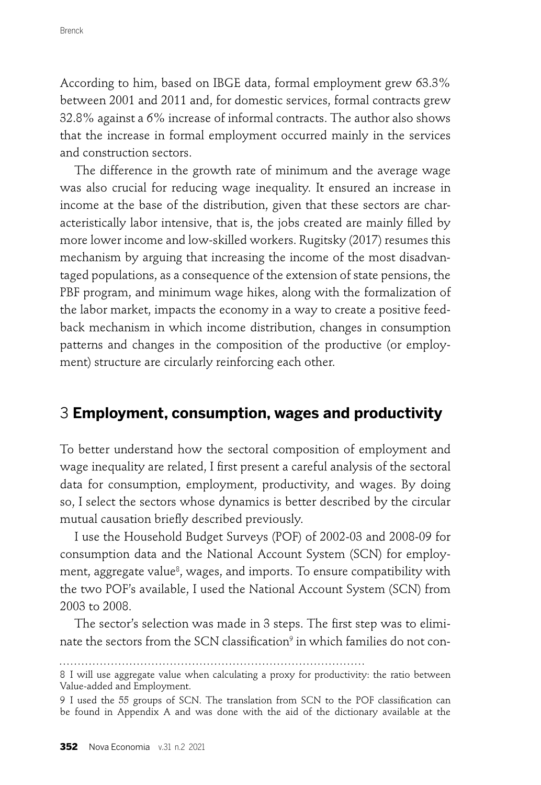According to him, based on IBGE data, formal employment grew 63.3% between 2001 and 2011 and, for domestic services, formal contracts grew 32.8% against a 6% increase of informal contracts. The author also shows that the increase in formal employment occurred mainly in the services and construction sectors.

The difference in the growth rate of minimum and the average wage was also crucial for reducing wage inequality. It ensured an increase in income at the base of the distribution, given that these sectors are characteristically labor intensive, that is, the jobs created are mainly filled by more lower income and low-skilled workers. Rugitsky (2017) resumes this mechanism by arguing that increasing the income of the most disadvantaged populations, as a consequence of the extension of state pensions, the PBF program, and minimum wage hikes, along with the formalization of the labor market, impacts the economy in a way to create a positive feedback mechanism in which income distribution, changes in consumption patterns and changes in the composition of the productive (or employment) structure are circularly reinforcing each other.

## 3 **Employment, consumption, wages and productivity**

To better understand how the sectoral composition of employment and wage inequality are related, I first present a careful analysis of the sectoral data for consumption, employment, productivity, and wages. By doing so, I select the sectors whose dynamics is better described by the circular mutual causation briefly described previously.

I use the Household Budget Surveys (POF) of 2002-03 and 2008-09 for consumption data and the National Account System (SCN) for employment, aggregate value<sup>8</sup>, wages, and imports. To ensure compatibility with the two POF's available, I used the National Account System (SCN) from 2003 to 2008.

The sector's selection was made in 3 steps. The first step was to eliminate the sectors from the SCN classification $^9$  in which families do not con-

<sup>8</sup> I will use aggregate value when calculating a proxy for productivity: the ratio between Value-added and Employment.

<sup>9</sup> I used the 55 groups of SCN. The translation from SCN to the POF classification can be found in Appendix A and was done with the aid of the dictionary available at the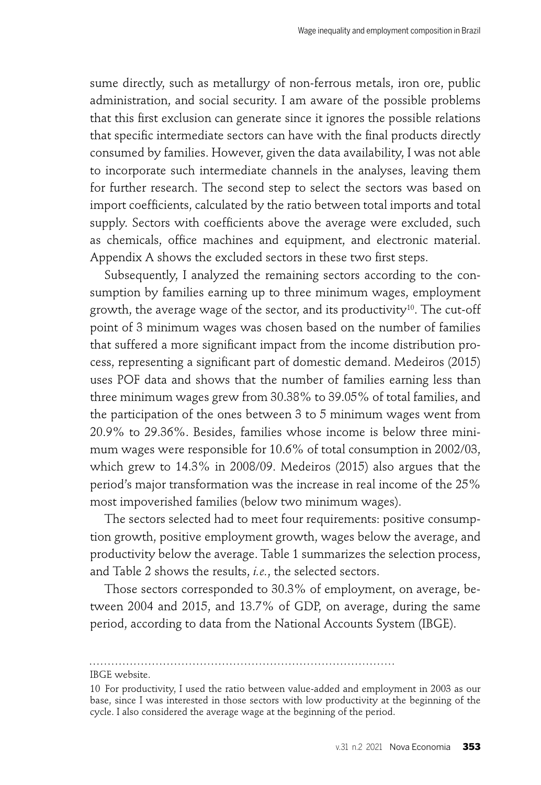sume directly, such as metallurgy of non-ferrous metals, iron ore, public administration, and social security. I am aware of the possible problems that this first exclusion can generate since it ignores the possible relations that specific intermediate sectors can have with the final products directly consumed by families. However, given the data availability, I was not able to incorporate such intermediate channels in the analyses, leaving them for further research. The second step to select the sectors was based on import coefficients, calculated by the ratio between total imports and total supply. Sectors with coefficients above the average were excluded, such as chemicals, office machines and equipment, and electronic material. Appendix A shows the excluded sectors in these two first steps.

Subsequently, I analyzed the remaining sectors according to the consumption by families earning up to three minimum wages, employment growth, the average wage of the sector, and its productivity<sup>10</sup>. The cut-off point of 3 minimum wages was chosen based on the number of families that suffered a more significant impact from the income distribution process, representing a significant part of domestic demand. Medeiros (2015) uses POF data and shows that the number of families earning less than three minimum wages grew from 30.38% to 39.05% of total families, and the participation of the ones between 3 to 5 minimum wages went from 20.9% to 29.36%. Besides, families whose income is below three minimum wages were responsible for 10.6% of total consumption in 2002/03, which grew to 14.3% in 2008/09. Medeiros (2015) also argues that the period's major transformation was the increase in real income of the 25% most impoverished families (below two minimum wages).

The sectors selected had to meet four requirements: positive consumption growth, positive employment growth, wages below the average, and productivity below the average. Table 1 summarizes the selection process, and Table 2 shows the results, *i.e.*, the selected sectors.

Those sectors corresponded to 30.3% of employment, on average, between 2004 and 2015, and 13.7% of GDP, on average, during the same period, according to data from the National Accounts System (IBGE).

IBGE website.

<sup>10</sup> For productivity, I used the ratio between value-added and employment in 2003 as our base, since I was interested in those sectors with low productivity at the beginning of the cycle. I also considered the average wage at the beginning of the period.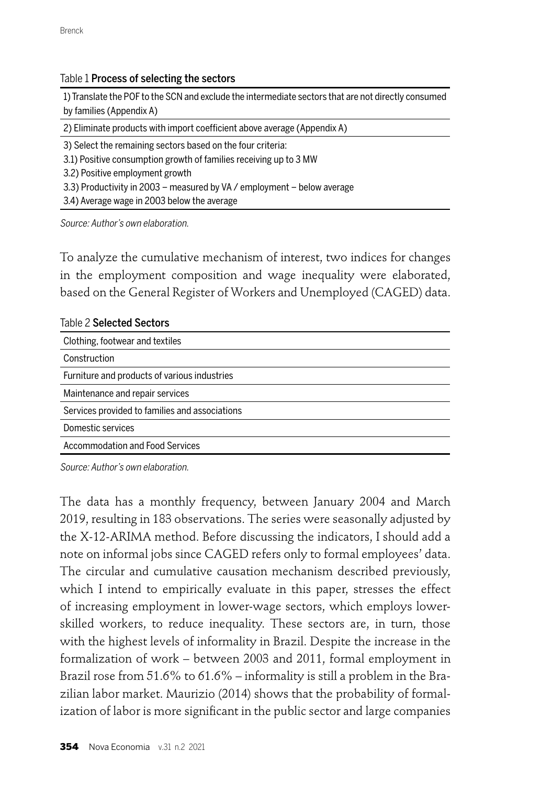#### Table 1 Process of selecting the sectors

1) Translate the POF to the SCN and exclude the intermediate sectors that are not directly consumed by families (Appendix A)

2) Eliminate products with import coefficient above average (Appendix A)

3) Select the remaining sectors based on the four criteria:

3.1) Positive consumption growth of families receiving up to 3 MW

3.2) Positive employment growth

3.3) Productivity in 2003 – measured by VA / employment – below average

3.4) Average wage in 2003 below the average

Source: Author's own elaboration.

To analyze the cumulative mechanism of interest, two indices for changes in the employment composition and wage inequality were elaborated, based on the General Register of Workers and Unemployed (CAGED) data.

| Table 2 Selected Sectors                       |
|------------------------------------------------|
| Clothing, footwear and textiles                |
| Construction                                   |
| Furniture and products of various industries   |
| Maintenance and repair services                |
| Services provided to families and associations |
| Domestic services                              |
| Accommodation and Food Services                |
|                                                |

Source: Author's own elaboration.

The data has a monthly frequency, between January 2004 and March 2019, resulting in 183 observations. The series were seasonally adjusted by the X-12-ARIMA method. Before discussing the indicators, I should add a note on informal jobs since CAGED refers only to formal employees' data. The circular and cumulative causation mechanism described previously, which I intend to empirically evaluate in this paper, stresses the effect of increasing employment in lower-wage sectors, which employs lowerskilled workers, to reduce inequality. These sectors are, in turn, those with the highest levels of informality in Brazil. Despite the increase in the formalization of work – between 2003 and 2011, formal employment in Brazil rose from 51.6% to 61.6% – informality is still a problem in the Brazilian labor market. Maurizio (2014) shows that the probability of formalization of labor is more significant in the public sector and large companies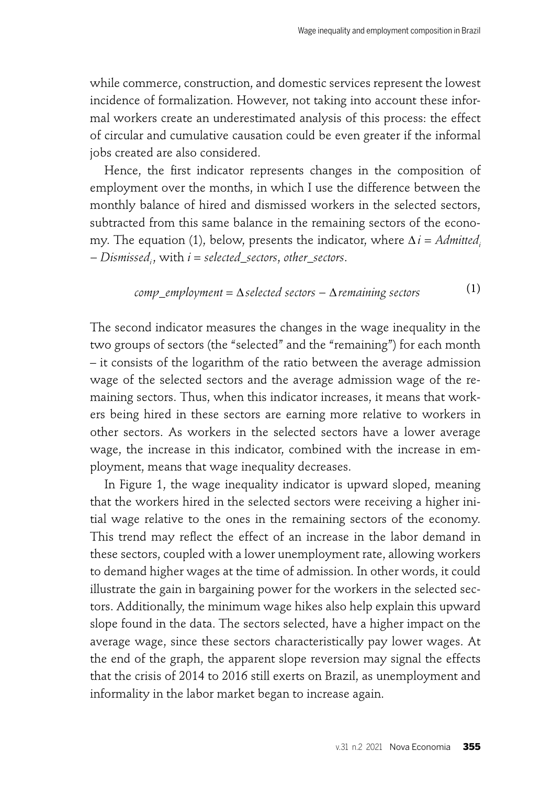$(1)$ 

while commerce, construction, and domestic services represent the lowest incidence of formalization. However, not taking into account these informal workers create an underestimated analysis of this process: the effect of circular and cumulative causation could be even greater if the informal jobs created are also considered.

Hence, the first indicator represents changes in the composition of employment over the months, in which I use the difference between the monthly balance of hired and dismissed workers in the selected sectors, subtracted from this same balance in the remaining sectors of the economy. The equation (1), below, presents the indicator, where  $\Delta i = \text{Admitted}$ ; − *Dismissedi* , with *i* = *selected\_sectors*, *other\_sectors*.

comp\_employment = 
$$
\Delta
$$
 selected sectors –  $\Delta$  remaining sectors (1)

The second indicator measures the changes in the wage inequality in the two groups of sectors (the "selected" and the "remaining") for each month – it consists of the logarithm of the ratio between the average admission wage of the selected sectors and the average admission wage of the remaining sectors. Thus, when this indicator increases, it means that workers being hired in these sectors are earning more relative to workers in other sectors. As workers in the selected sectors have a lower average wage, the increase in this indicator, combined with the increase in employment, means that wage inequality decreases.

In Figure 1, the wage inequality indicator is upward sloped, meaning that the workers hired in the selected sectors were receiving a higher initial wage relative to the ones in the remaining sectors of the economy. This trend may reflect the effect of an increase in the labor demand in these sectors, coupled with a lower unemployment rate, allowing workers to demand higher wages at the time of admission. In other words, it could illustrate the gain in bargaining power for the workers in the selected sectors. Additionally, the minimum wage hikes also help explain this upward slope found in the data. The sectors selected, have a higher impact on the average wage, since these sectors characteristically pay lower wages. At the end of the graph, the apparent slope reversion may signal the effects that the crisis of 2014 to 2016 still exerts on Brazil, as unemployment and informality in the labor market began to increase again.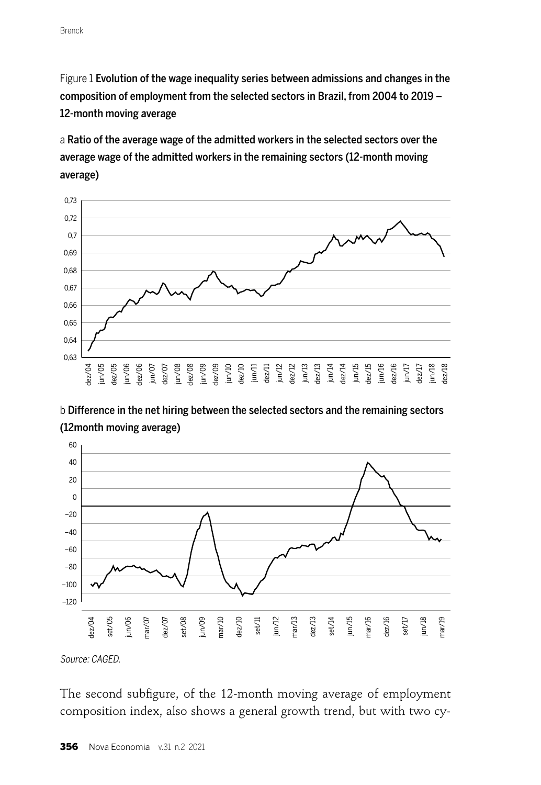Figure 1 Evolution of the wage inequality series between admissions and changes in the composition of employment from the selected sectors in Brazil, from 2004 to 2019 – 12-month moving average

a Ratio of the average wage of the admitted workers in the selected sectors over the average wage of the admitted workers in the remaining sectors (12-month moving average)



b Difference in the net hiring between the selected sectors and the remaining sectors (12month moving average)



Source: CAGED.

The second subfigure, of the 12-month moving average of employment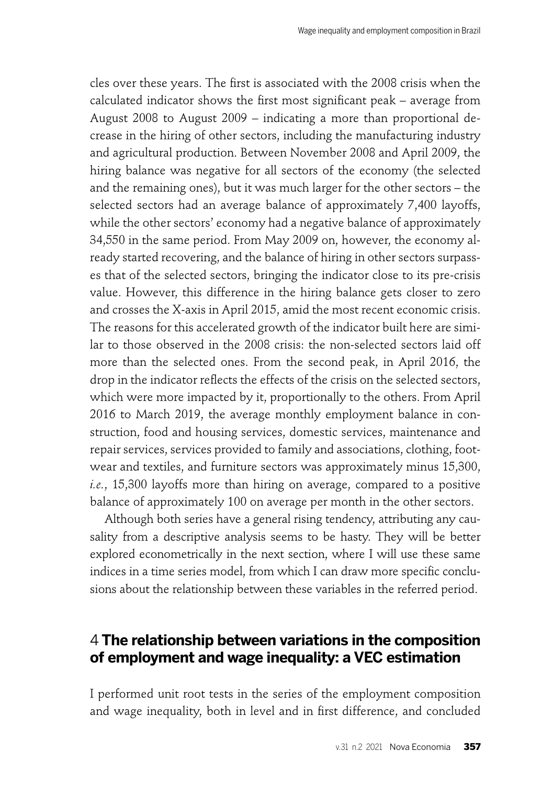cles over these years. The first is associated with the 2008 crisis when the calculated indicator shows the first most significant peak – average from August 2008 to August 2009 – indicating a more than proportional decrease in the hiring of other sectors, including the manufacturing industry and agricultural production. Between November 2008 and April 2009, the hiring balance was negative for all sectors of the economy (the selected and the remaining ones), but it was much larger for the other sectors – the selected sectors had an average balance of approximately 7,400 layoffs, while the other sectors' economy had a negative balance of approximately 34,550 in the same period. From May 2009 on, however, the economy already started recovering, and the balance of hiring in other sectors surpasses that of the selected sectors, bringing the indicator close to its pre-crisis value. However, this difference in the hiring balance gets closer to zero and crosses the X-axis in April 2015, amid the most recent economic crisis. The reasons for this accelerated growth of the indicator built here are similar to those observed in the 2008 crisis: the non-selected sectors laid off more than the selected ones. From the second peak, in April 2016, the drop in the indicator reflects the effects of the crisis on the selected sectors, which were more impacted by it, proportionally to the others. From April 2016 to March 2019, the average monthly employment balance in construction, food and housing services, domestic services, maintenance and repair services, services provided to family and associations, clothing, footwear and textiles, and furniture sectors was approximately minus 15,300, *i.e.*, 15,300 layoffs more than hiring on average, compared to a positive balance of approximately 100 on average per month in the other sectors.

Although both series have a general rising tendency, attributing any causality from a descriptive analysis seems to be hasty. They will be better explored econometrically in the next section, where I will use these same indices in a time series model, from which I can draw more specific conclusions about the relationship between these variables in the referred period.

## 4 **The relationship between variations in the composition of employment and wage inequality: a VEC estimation**

I performed unit root tests in the series of the employment composition and wage inequality, both in level and in first difference, and concluded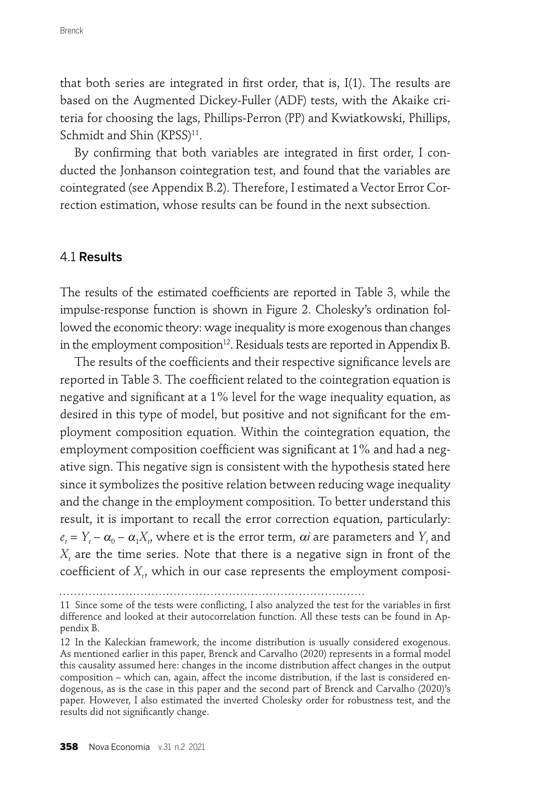that both series are integrated in first order, that is,  $I(1)$ . The results are based on the Augmented Dickey-Fuller (ADF) tests, with the Akaike criteria for choosing the lags, Phillips-Perron (PP) and Kwiatkowski, Phillips, Schmidt and Shin (KPSS)<sup>11</sup>.

By confirming that both variables are integrated in first order, I conducted the Jonhanson cointegration test, and found that the variables are cointegrated (see Appendix B.2). Therefore, I estimated a Vector Error Correction estimation, whose results can be found in the next subsection.

#### 4.1 Results

The results of the estimated coefficients are reported in Table 3, while the impulse-response function is shown in Figure 2. Cholesky's ordination followed the economic theory: wage inequality is more exogenous than changes in the employment composition<sup>12</sup>. Residuals tests are reported in Appendix B.

The results of the coefficients and their respective significance levels are reported in Table 3. The coefficient related to the cointegration equation is negative and significant at a  $1\%$  level for the wage inequality equation, as desired in this type of model, but positive and not significant for the employment composition equation. Within the cointegration equation, the employment composition coefficient was significant at 1% and had a negative sign. This negative sign is consistent with the hypothesis stated here since it symbolizes the positive relation between reducing wage inequality and the change in the employment composition. To better understand this result, it is important to recall the error correction equation, particularly:  $e_t = Y_t - \alpha_0 - \alpha_1 X_t$ , where et is the error term,  $\alpha i$  are parameters and  $Y_t$  and  $X_t$  are the time series. Note that there is a negative sign in front of the coefficient of  $X_t$ , which in our case represents the employment composi-

<sup>11</sup> Since some of the tests were conflicting, I also analyzed the test for the variables in first difference and looked at their autocorrelation function. All these tests can be found in Appendix B.

<sup>12</sup> In the Kaleckian framework, the income distribution is usually considered exogenous. As mentioned earlier in this paper, Brenck and Carvalho (2020) represents in a formal model this causality assumed here: changes in the income distribution affect changes in the output composition – which can, again, affect the income distribution, if the last is considered endogenous, as is the case in this paper and the second part of Brenck and Carvalho (2020)'s paper. However, I also estimated the inverted Cholesky order for robustness test, and the results did not significantly change.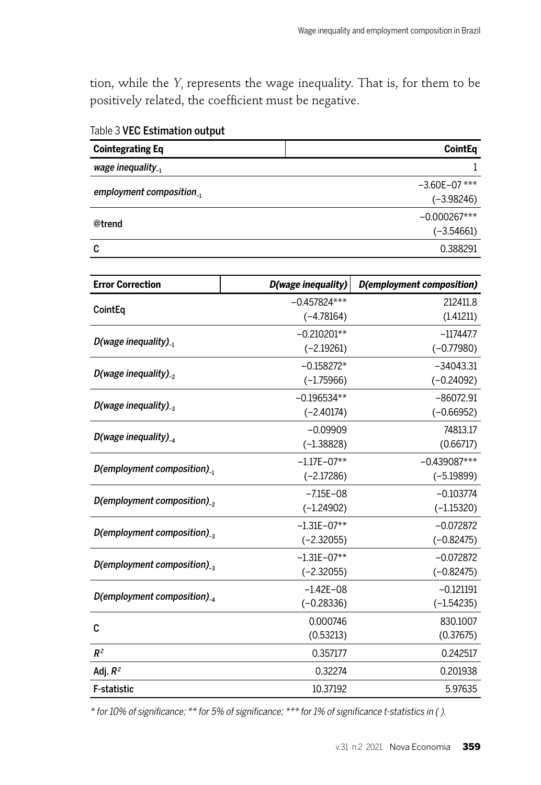tion, while the *Y*<sub>t</sub> represents the wage inequality. That is, for them to be positively related, the coefficient must be negative.

| <b>Cointegrating Eq</b>                    |                    | <b>CointEq</b>                   |
|--------------------------------------------|--------------------|----------------------------------|
| wage inequality.                           |                    | 1                                |
|                                            |                    | $-3.60E - 07$ ***                |
| employment composition <sub>-1</sub>       |                    | $(-3.98246)$                     |
| @trend                                     |                    | $-0.000267***$                   |
|                                            |                    | $(-3.54661)$                     |
| C                                          |                    | 0.388291                         |
|                                            |                    |                                  |
| <b>Error Correction</b>                    | D(wage inequality) | <b>D(employment composition)</b> |
| CointEq                                    | $-0.457824***$     | 212411.8                         |
|                                            | $(-4.78164)$       | (1.41211)                        |
| D(wage inequality) <sub>-1</sub>           | $-0.210201**$      | $-117447.7$                      |
|                                            | $(-2.19261)$       | $(-0.77980)$                     |
| D(wage inequality) <sub>-2</sub>           | $-0.158272*$       | $-34043.31$                      |
|                                            | $(-1.75966)$       | $(-0.24092)$                     |
| D(wage inequality) <sub>-3</sub>           | $-0.196534**$      | $-86072.91$                      |
|                                            | $(-2.40174)$       | $(-0.66952)$                     |
| D(wage inequality) <sub>-4</sub>           | $-0.09909$         | 74813.17                         |
|                                            | $(-1.38828)$       | (0.66717)                        |
| $D$ (employment composition) <sub>-1</sub> | $-1.17E - 07**$    | $-0.439087***$                   |
|                                            | $(-2.17286)$       | $(-5.19899)$                     |
| $D$ (employment composition) <sub>-2</sub> | $-7.15E - 08$      | $-0.103774$                      |
|                                            | $(-1.24902)$       | $(-1.15320)$                     |
| $D$ (employment composition) <sub>-3</sub> | $-1.31E - 07**$    | $-0.072872$                      |
|                                            | $(-2.32055)$       | $(-0.82475)$                     |
| $D$ (employment composition) <sub>-3</sub> | $-1.31E - 07**$    | $-0.072872$                      |
|                                            | $(-2.32055)$       | $(-0.82475)$                     |
| $D$ (employment composition) <sub>-4</sub> | $-1.42E - 08$      | $-0.121191$                      |
|                                            | $(-0.28336)$       | $(-1.54235)$                     |
| C                                          | 0.000746           | 830.1007                         |
|                                            | (0.53213)          | (0.37675)                        |
| R <sup>2</sup>                             | 0.357177           | 0.242517                         |
| Adj. $R^2$                                 | 0.32274            | 0.201938                         |
| F-statistic                                | 10.37192           | 5.97635                          |

Table 3 VEC Estimation output

\* for 10% of significance; \*\* for 5% of significance; \*\*\* for 1% of significance t-statistics in ().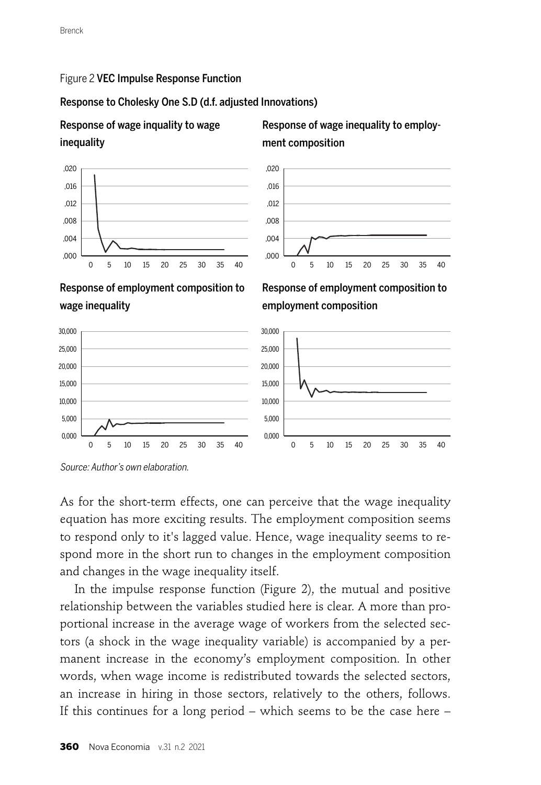#### Figure 2 VEC Impulse Response Function

#### Response to Cholesky One S.D (d.f. adjusted Innovations)

## Response of wage inquality to wage inequality







Response of employment composition to wage inequality





,020 ,016 ,012

As for the short-term effects, one can perceive that the wage inequality equation has more exciting results. The employment composition seems to respond only to it's lagged value. Hence, wage inequality seems to respond more in the short run to changes in the employment composition and changes in the wage inequality itself.

In the impulse response function (Figure 2), the mutual and positive relationship between the variables studied here is clear. A more than proportional increase in the average wage of workers from the selected sectors (a shock in the wage inequality variable) is accompanied by a permanent increase in the economy's employment composition. In other words, when wage income is redistributed towards the selected sectors, an increase in hiring in those sectors, relatively to the others, follows. If this continues for a long period – which seems to be the case here –

Source: Author's own elaboration.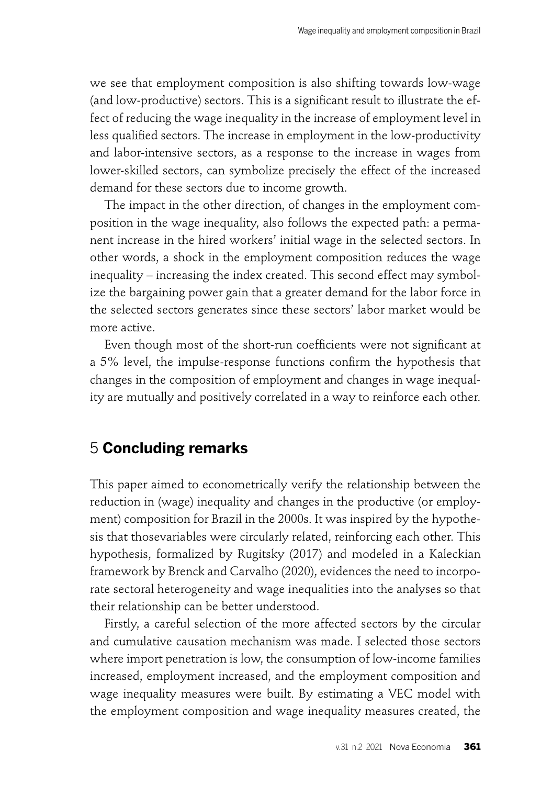we see that employment composition is also shifting towards low-wage (and low-productive) sectors. This is a significant result to illustrate the effect of reducing the wage inequality in the increase of employment level in less qualified sectors. The increase in employment in the low-productivity and labor-intensive sectors, as a response to the increase in wages from lower-skilled sectors, can symbolize precisely the effect of the increased demand for these sectors due to income growth.

The impact in the other direction, of changes in the employment composition in the wage inequality, also follows the expected path: a permanent increase in the hired workers' initial wage in the selected sectors. In other words, a shock in the employment composition reduces the wage inequality – increasing the index created. This second effect may symbolize the bargaining power gain that a greater demand for the labor force in the selected sectors generates since these sectors' labor market would be more active.

Even though most of the short-run coefficients were not significant at a 5% level, the impulse-response functions confirm the hypothesis that changes in the composition of employment and changes in wage inequality are mutually and positively correlated in a way to reinforce each other.

# 5 **Concluding remarks**

This paper aimed to econometrically verify the relationship between the reduction in (wage) inequality and changes in the productive (or employment) composition for Brazil in the 2000s. It was inspired by the hypothesis that thosevariables were circularly related, reinforcing each other. This hypothesis, formalized by Rugitsky (2017) and modeled in a Kaleckian framework by Brenck and Carvalho (2020), evidences the need to incorporate sectoral heterogeneity and wage inequalities into the analyses so that their relationship can be better understood.

Firstly, a careful selection of the more affected sectors by the circular and cumulative causation mechanism was made. I selected those sectors where import penetration is low, the consumption of low-income families increased, employment increased, and the employment composition and wage inequality measures were built. By estimating a VEC model with the employment composition and wage inequality measures created, the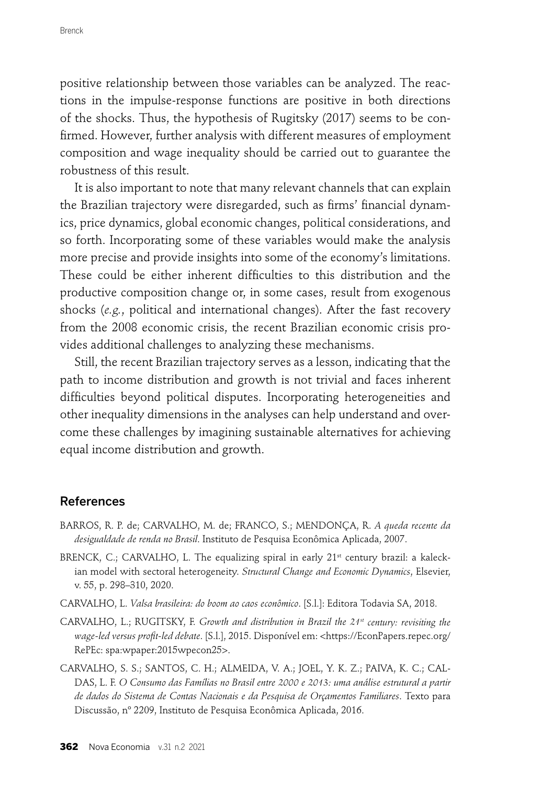positive relationship between those variables can be analyzed. The reactions in the impulse-response functions are positive in both directions of the shocks. Thus, the hypothesis of Rugitsky (2017) seems to be confirmed. However, further analysis with different measures of employment composition and wage inequality should be carried out to guarantee the robustness of this result.

It is also important to note that many relevant channels that can explain the Brazilian trajectory were disregarded, such as firms' financial dynamics, price dynamics, global economic changes, political considerations, and so forth. Incorporating some of these variables would make the analysis more precise and provide insights into some of the economy's limitations. These could be either inherent difficulties to this distribution and the productive composition change or, in some cases, result from exogenous shocks (*e.g.*, political and international changes). After the fast recovery from the 2008 economic crisis, the recent Brazilian economic crisis provides additional challenges to analyzing these mechanisms.

Still, the recent Brazilian trajectory serves as a lesson, indicating that the path to income distribution and growth is not trivial and faces inherent difficulties beyond political disputes. Incorporating heterogeneities and other inequality dimensions in the analyses can help understand and overcome these challenges by imagining sustainable alternatives for achieving equal income distribution and growth.

#### References

- BARROS, R. P. de; CARVALHO, M. de; FRANCO, S.; MENDONÇA, R. *A queda recente da desigualdade de renda no Brasil*. Instituto de Pesquisa Econômica Aplicada, 2007.
- BRENCK, C.; CARVALHO, L. The equalizing spiral in early 21<sup>st</sup> century brazil: a kaleckian model with sectoral heterogeneity. *Structural Change and Economic Dynamics*, Elsevier, v. 55, p. 298–310, 2020.
- CARVALHO, L. *Valsa brasileira: do boom ao caos econômico*. [S.l.]: Editora Todavia SA, 2018.
- CARVALHO, L.; RUGITSKY, F. *Growth and distribution in Brazil the 21st century: revisiting the wage-led versus profi t-led debate*. [S.l.], 2015. Disponível em: <https://EconPapers.repec.org/ RePEc: spa:wpaper:2015wpecon25>.
- CARVALHO, S. S.; SANTOS, C. H.; ALMEIDA, V. A.; JOEL, Y. K. Z.; PAIVA, K. C.; CAL-DAS, L. F. *O Consumo das Famílias no Brasil entre 2000 e 2013: uma análise estrutural a partir de dados do Sistema de Contas Nacionais e da Pesquisa de Orçamentos Familiares*. Texto para Discussão, nº 2209, Instituto de Pesquisa Econômica Aplicada, 2016.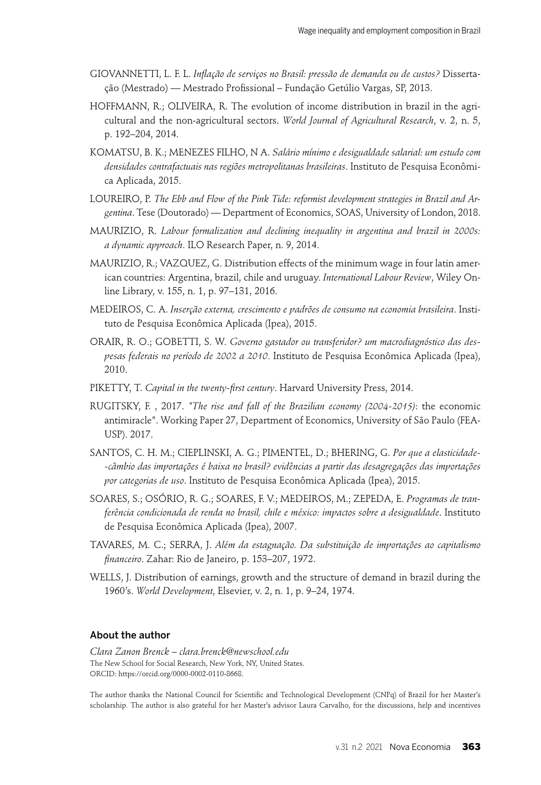- GIOVANNETTI, L. F. L. *Infl ação de serviços no Brasil: pressão de demanda ou de custos?* Dissertação (Mestrado) — Mestrado Profissional – Fundação Getúlio Vargas, SP, 2013.
- HOFFMANN, R.; OLIVEIRA, R. The evolution of income distribution in brazil in the agricultural and the non-agricultural sectors. *World Journal of Agricultural Research*, v. 2, n. 5, p. 192–204, 2014.
- KOMATSU, B. K.; MENEZES FILHO, N A. *Salário mínimo e desigualdade salarial: um estudo com densidades contrafactuais nas regiões metropolitanas brasileiras*. Instituto de Pesquisa Econômica Aplicada, 2015.
- LOUREIRO, P. *The Ebb and Flow of the Pink Tide: reformist development strategies in Brazil and Argentina*. Tese (Doutorado) — Department of Economics, SOAS, University of London, 2018.
- MAURIZIO, R. *Labour formalization and declining inequality in argentina and brazil in 2000s: a dynamic approach*. ILO Research Paper, n. 9, 2014.
- MAURIZIO, R.; VAZQUEZ, G. Distribution effects of the minimum wage in four latin american countries: Argentina, brazil, chile and uruguay. *International Labour Review*, Wiley Online Library, v. 155, n. 1, p. 97–131, 2016.
- MEDEIROS, C. A. *Inserção externa, crescimento e padrões de consumo na economia brasileira*. Instituto de Pesquisa Econômica Aplicada (Ipea), 2015.
- ORAIR, R. O.; GOBETTI, S. W. *Governo gastador ou transferidor? um macrodiagnóstico das despesas federais no período de 2002 a 2010*. Instituto de Pesquisa Econômica Aplicada (Ipea), 2010.
- PIKETTY, T. *Capital in the twenty-first century*. Harvard University Press, 2014.
- RUGITSKY, F. , 2017. *"The rise and fall of the Brazilian economy (2004-2015)*: the economic antimiracle". Working Paper 27, Department of Economics, University of São Paulo (FEA-USP). 2017.
- SANTOS, C. H. M.; CIEPLINSKI, A. G.; PIMENTEL, D.; BHERING, G. *Por que a elasticidade- -câmbio das importações é baixa no brasil? evidências a partir das desagregações das importações por categorias de uso*. Instituto de Pesquisa Econômica Aplicada (Ipea), 2015.
- SOARES, S.; OSÓRIO, R. G.; SOARES, F. V.; MEDEIROS, M.; ZEPEDA, E. *Programas de tranferência condicionada de renda no brasil, chile e méxico: impactos sobre a desigualdade*. Instituto de Pesquisa Econômica Aplicada (Ipea), 2007.
- TAVARES, M. C.; SERRA, J. *Além da estagnação. Da substituição de importações ao capitalismo fi nanceiro*. Zahar: Rio de Janeiro, p. 153–207, 1972.
- WELLS, J. Distribution of earnings, growth and the structure of demand in brazil during the 1960's. *World Development*, Elsevier, v. 2, n. 1, p. 9–24, 1974.

#### About the author

*Clara Zanon Brenck – clara.brenck@newschool.edu* The New School for Social Research, New York, NY, United States. ORCID: https://orcid.org/0000-0002-0110-8668.

The author thanks the National Council for Scientific and Technological Development (CNPq) of Brazil for her Master's scholarship. The author is also grateful for her Master's advisor Laura Carvalho, for the discussions, help and incentives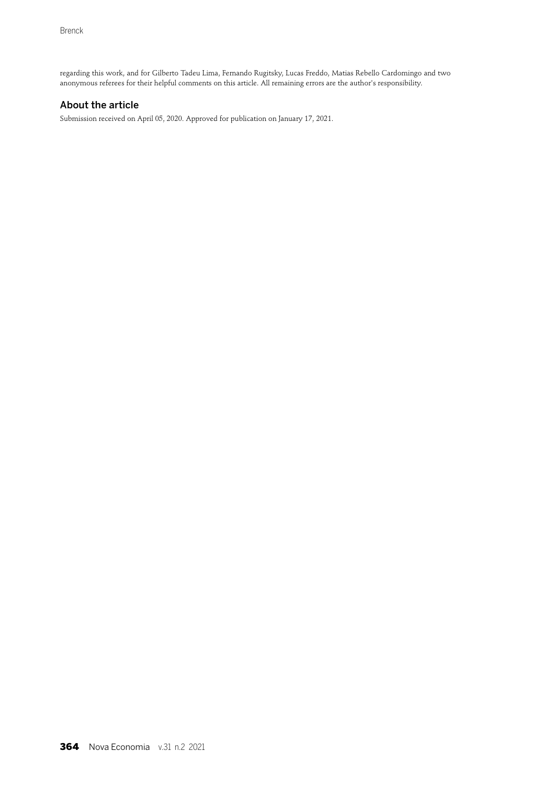regarding this work, and for Gilberto Tadeu Lima, Fernando Rugitsky, Lucas Freddo, Matias Rebello Cardomingo and two anonymous referees for their helpful comments on this article. All remaining errors are the author's responsibility.

#### About the article

Submission received on April 05, 2020. Approved for publication on January 17, 2021.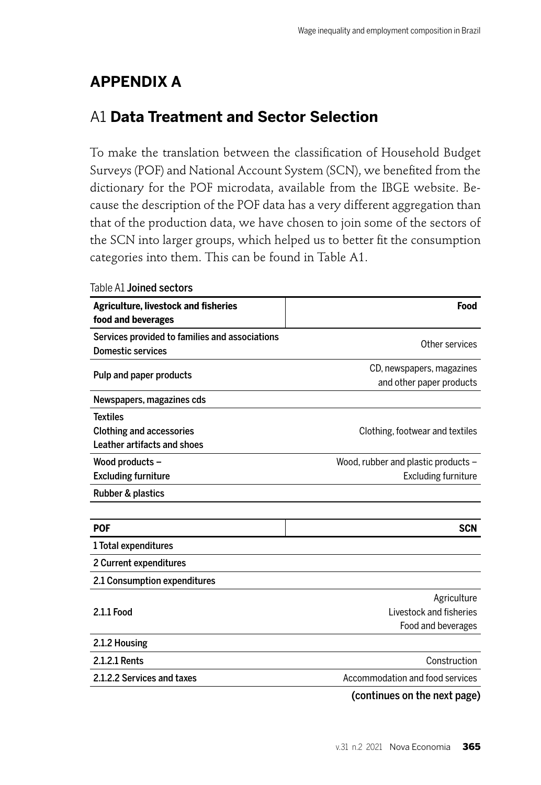# **APPENDIX A**

# A1 **Data Treatment and Sector Selection**

To make the translation between the classification of Household Budget Surveys (POF) and National Account System (SCN), we benefited from the dictionary for the POF microdata, available from the IBGE website. Because the description of the POF data has a very different aggregation than that of the production data, we have chosen to join some of the sectors of the SCN into larger groups, which helped us to better fit the consumption categories into them. This can be found in Table A1.

| <b>Agriculture, livestock and fisheries</b>    | Food                                |
|------------------------------------------------|-------------------------------------|
| food and beverages                             |                                     |
| Services provided to families and associations | Other services                      |
| <b>Domestic services</b>                       |                                     |
|                                                | CD, newspapers, magazines           |
| Pulp and paper products                        | and other paper products            |
| Newspapers, magazines cds                      |                                     |
| <b>Textiles</b>                                |                                     |
| <b>Clothing and accessories</b>                | Clothing, footwear and textiles     |
| Leather artifacts and shoes                    |                                     |
| Wood products -                                | Wood, rubber and plastic products - |
| <b>Excluding furniture</b>                     | <b>Excluding furniture</b>          |
| Rubber & plastics                              |                                     |
|                                                |                                     |
| <b>POF</b>                                     | <b>SCN</b>                          |
| 1 Total expenditures                           |                                     |
| 2 Current expenditures                         |                                     |
| 2.1 Consumption expenditures                   |                                     |
|                                                | Agriculture                         |
| 2.1.1 Food                                     | Livestock and fisheries             |
|                                                | Food and beverages                  |
| 2.1.2 Housing                                  |                                     |
| 2.1.2.1 Rents                                  | Construction                        |
| 2.1.2.2 Services and taxes                     | Accommodation and food services     |
|                                                |                                     |

Table A1 Joined sectors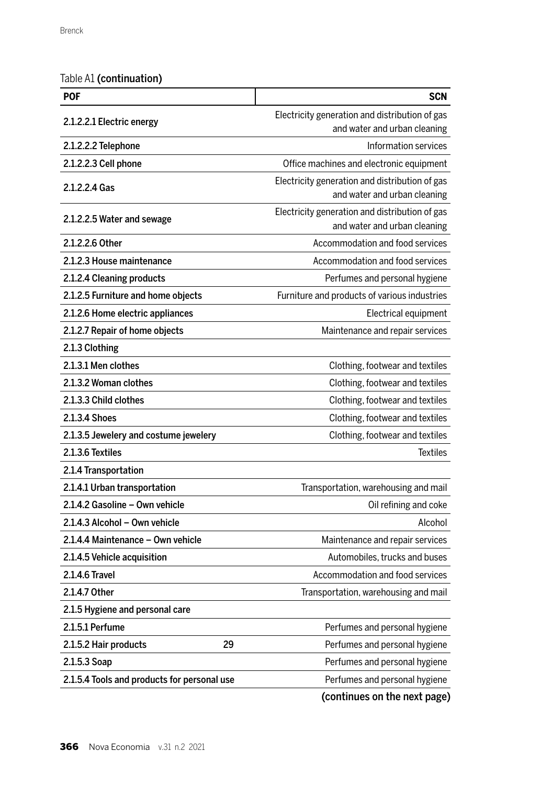Table A1 (continuation)

| <b>POF</b>                                  | <b>SCN</b>                                                                     |
|---------------------------------------------|--------------------------------------------------------------------------------|
| 2.1.2.2.1 Electric energy                   | Electricity generation and distribution of gas                                 |
|                                             | and water and urban cleaning                                                   |
| 2.1.2.2.2 Telephone                         | Information services                                                           |
| 2.1.2.2.3 Cell phone                        | Office machines and electronic equipment                                       |
| 2.1.2.2.4 Gas                               | Electricity generation and distribution of gas                                 |
|                                             | and water and urban cleaning                                                   |
| 2.1.2.2.5 Water and sewage                  | Electricity generation and distribution of gas<br>and water and urban cleaning |
| 2.1.2.2.6 Other                             | Accommodation and food services                                                |
| 2.1.2.3 House maintenance                   | Accommodation and food services                                                |
| 2.1.2.4 Cleaning products                   | Perfumes and personal hygiene                                                  |
| 2.1.2.5 Furniture and home objects          | Furniture and products of various industries                                   |
| 2.1.2.6 Home electric appliances            | Electrical equipment                                                           |
| 2.1.2.7 Repair of home objects              | Maintenance and repair services                                                |
| 2.1.3 Clothing                              |                                                                                |
| 2.1.3.1 Men clothes                         | Clothing, footwear and textiles                                                |
| 2.1.3.2 Woman clothes                       | Clothing, footwear and textiles                                                |
| 2.1.3.3 Child clothes                       | Clothing, footwear and textiles                                                |
| 2.1.3.4 Shoes                               | Clothing, footwear and textiles                                                |
| 2.1.3.5 Jewelery and costume jewelery       | Clothing, footwear and textiles                                                |
| 2.1.3.6 Textiles                            | <b>Textiles</b>                                                                |
| 2.1.4 Transportation                        |                                                                                |
| 2.1.4.1 Urban transportation                | Transportation, warehousing and mail                                           |
| 2.1.4.2 Gasoline - Own vehicle              | Oil refining and coke                                                          |
| 2.1.4.3 Alcohol - Own vehicle               | Alcohol                                                                        |
| 2.1.4.4 Maintenance - Own vehicle           | Maintenance and repair services                                                |
| 2.1.4.5 Vehicle acquisition                 | Automobiles, trucks and buses                                                  |
| 2.1.4.6 Travel                              | Accommodation and food services                                                |
| 2.1.4.7 Other                               | Transportation, warehousing and mail                                           |
| 2.1.5 Hygiene and personal care             |                                                                                |
| 2.1.5.1 Perfume                             | Perfumes and personal hygiene                                                  |
| 2.1.5.2 Hair products<br>29                 | Perfumes and personal hygiene                                                  |
| 2.1.5.3 Soap                                | Perfumes and personal hygiene                                                  |
| 2.1.5.4 Tools and products for personal use | Perfumes and personal hygiene                                                  |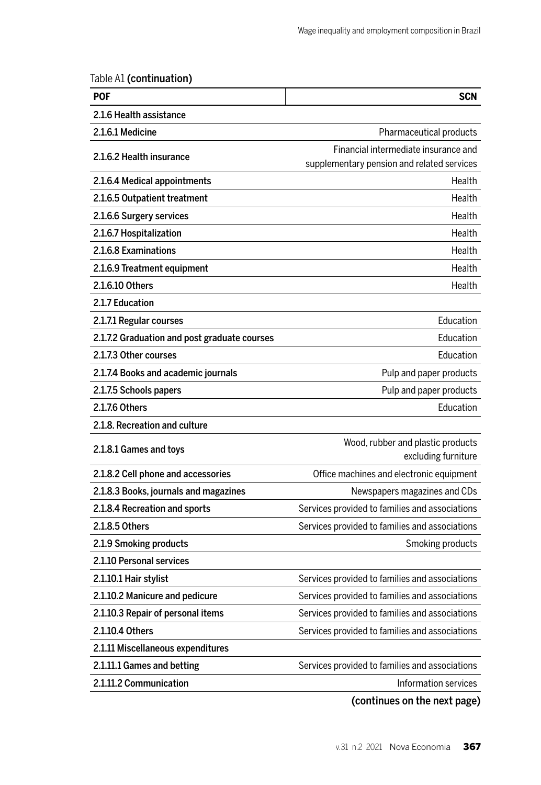Table A1 (continuation)

| <b>SCN</b>                                               |
|----------------------------------------------------------|
|                                                          |
|                                                          |
| Pharmaceutical products                                  |
| Financial intermediate insurance and                     |
| supplementary pension and related services               |
| Health                                                   |
| Health                                                   |
| Health                                                   |
| Health                                                   |
| Health                                                   |
| Health                                                   |
| Health                                                   |
|                                                          |
| Education                                                |
| Education                                                |
| Education                                                |
| Pulp and paper products                                  |
| Pulp and paper products                                  |
| Education                                                |
|                                                          |
| Wood, rubber and plastic products<br>excluding furniture |
| Office machines and electronic equipment                 |
| Newspapers magazines and CDs                             |
| Services provided to families and associations           |
| Services provided to families and associations           |
| Smoking products                                         |
|                                                          |
| Services provided to families and associations           |
| Services provided to families and associations           |
| Services provided to families and associations           |
| Services provided to families and associations           |
|                                                          |
| Services provided to families and associations           |
| Information services                                     |
|                                                          |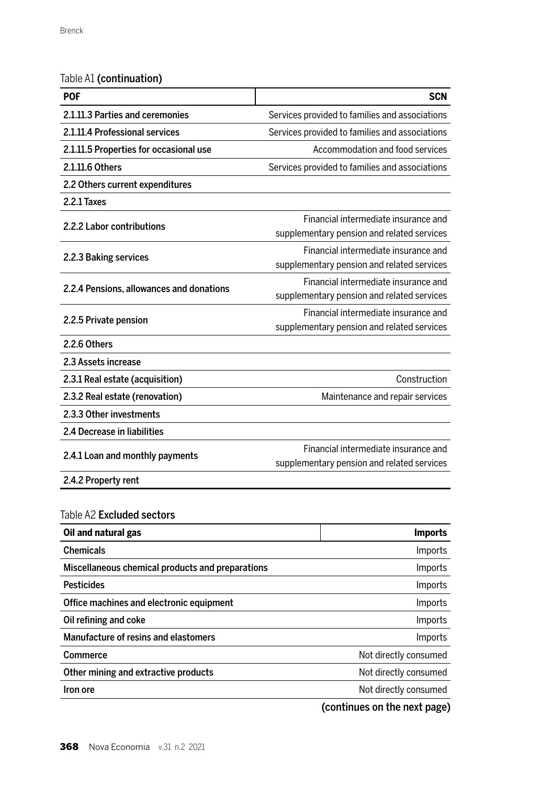### Table A1 (continuation)

| POF                                              | <b>SCN</b>                                                                         |
|--------------------------------------------------|------------------------------------------------------------------------------------|
| 2.1.11.3 Parties and ceremonies                  | Services provided to families and associations                                     |
| 2.1.11.4 Professional services                   | Services provided to families and associations                                     |
| 2.1.11.5 Properties for occasional use           | Accommodation and food services                                                    |
| 2.1.11.6 Others                                  | Services provided to families and associations                                     |
| 2.2 Others current expenditures                  |                                                                                    |
| 2.2.1 Taxes                                      |                                                                                    |
| 2.2.2 Labor contributions                        | Financial intermediate insurance and<br>supplementary pension and related services |
| 2.2.3 Baking services                            | Financial intermediate insurance and<br>supplementary pension and related services |
| 2.2.4 Pensions, allowances and donations         | Financial intermediate insurance and<br>supplementary pension and related services |
| 2.2.5 Private pension                            | Financial intermediate insurance and<br>supplementary pension and related services |
| 2.2.6 Others                                     |                                                                                    |
| 2.3 Assets increase                              |                                                                                    |
| 2.3.1 Real estate (acquisition)                  | Construction                                                                       |
| 2.3.2 Real estate (renovation)                   | Maintenance and repair services                                                    |
| 2.3.3 Other investments                          |                                                                                    |
| 2.4 Decrease in liabilities                      |                                                                                    |
| 2.4.1 Loan and monthly payments                  | Financial intermediate insurance and<br>supplementary pension and related services |
| 2.4.2 Property rent                              |                                                                                    |
| Table A2 <b>Excluded sectors</b>                 |                                                                                    |
| Oil and natural gas                              | <b>Imports</b>                                                                     |
| Chemicals                                        | Imports                                                                            |
| Miscellaneous chemical products and preparations | <b>Imports</b>                                                                     |
| <b>Pesticides</b>                                | Imports                                                                            |
| Office machines and electronic equipment         | Imports                                                                            |
| Oil refining and coke                            | Imports                                                                            |
| Manufacture of resins and elastomers             | Imports                                                                            |
| Commerce                                         | Not directly consumed                                                              |
| Other mining and extractive products             | Not directly consumed                                                              |
| Iron ore                                         | Not directly consumed                                                              |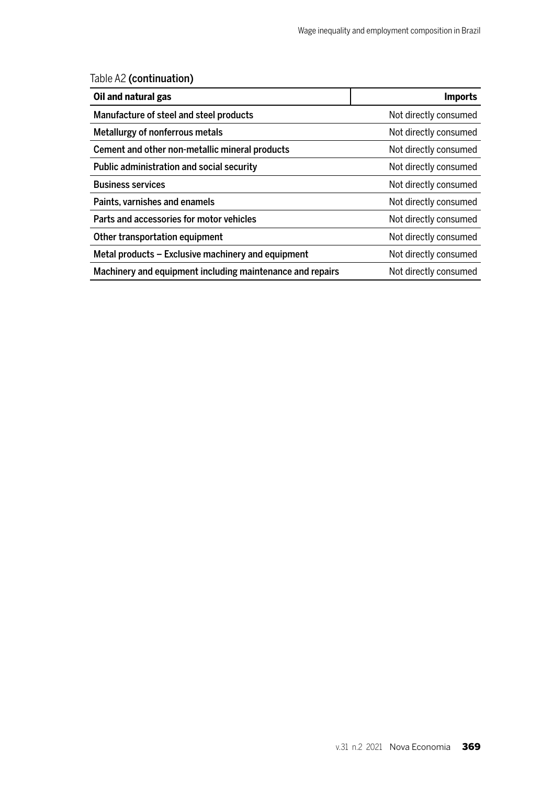Table A2 (continuation)

| Oil and natural gas                                       | <b>Imports</b>        |
|-----------------------------------------------------------|-----------------------|
| Manufacture of steel and steel products                   | Not directly consumed |
| Metallurgy of nonferrous metals                           | Not directly consumed |
| Cement and other non-metallic mineral products            | Not directly consumed |
| Public administration and social security                 | Not directly consumed |
| <b>Business services</b>                                  | Not directly consumed |
| Paints, varnishes and enamels                             | Not directly consumed |
| Parts and accessories for motor vehicles                  | Not directly consumed |
| Other transportation equipment                            | Not directly consumed |
| Metal products – Exclusive machinery and equipment        | Not directly consumed |
| Machinery and equipment including maintenance and repairs | Not directly consumed |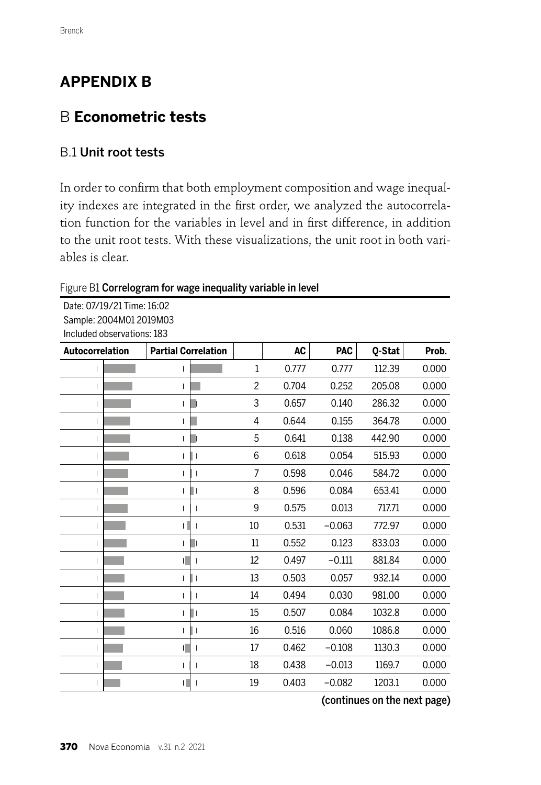# **APPENDIX B**

# B **Econometric tests**

## B.1 Unit root tests

In order to confirm that both employment composition and wage inequality indexes are integrated in the first order, we analyzed the autocorrelation function for the variables in level and in first difference, in addition to the unit root tests. With these visualizations, the unit root in both variables is clear.

#### Figure B1 Correlogram for wage inequality variable in level

Date: 07/19/21 Time: 16:02 Sample: 2004M01 2019M03 Included observations: 183

| Autocorrelation | <b>Partial Correlation</b> |              | <b>AC</b> | <b>PAC</b> | Q-Stat | Prob. |
|-----------------|----------------------------|--------------|-----------|------------|--------|-------|
|                 |                            | $\mathbf{1}$ | 0.777     | 0.777      | 112.39 | 0.000 |
| ı               |                            | 2            | 0.704     | 0.252      | 205.08 | 0.000 |
|                 |                            | 3            | 0.657     | 0.140      | 286.32 | 0.000 |
|                 |                            | 4            | 0.644     | 0.155      | 364.78 | 0.000 |
| Ш               |                            | 5            | 0.641     | 0.138      | 442.90 | 0.000 |
| ı               |                            | 6            | 0.618     | 0.054      | 515.93 | 0.000 |
|                 |                            | 7            | 0.598     | 0.046      | 584.72 | 0.000 |
| T               | ı                          | 8            | 0.596     | 0.084      | 653.41 | 0.000 |
| I               | I                          | 9            | 0.575     | 0.013      | 717.71 | 0.000 |
|                 |                            | 10           | 0.531     | $-0.063$   | 772.97 | 0.000 |
|                 |                            | 11           | 0.552     | 0.123      | 833.03 | 0.000 |
| ı               |                            | 12           | 0.497     | $-0.111$   | 881.84 | 0.000 |
| ı               |                            | 13           | 0.503     | 0.057      | 932.14 | 0.000 |
| ı               |                            | 14           | 0.494     | 0.030      | 981.00 | 0.000 |
| ı               |                            | 15           | 0.507     | 0.084      | 1032.8 | 0.000 |
|                 |                            | 16           | 0.516     | 0.060      | 1086.8 | 0.000 |
|                 |                            | 17           | 0.462     | $-0.108$   | 1130.3 | 0.000 |
| ı               | ı                          | 18           | 0.438     | $-0.013$   | 1169.7 | 0.000 |
|                 |                            | 19           | 0.403     | $-0.082$   | 1203.1 | 0.000 |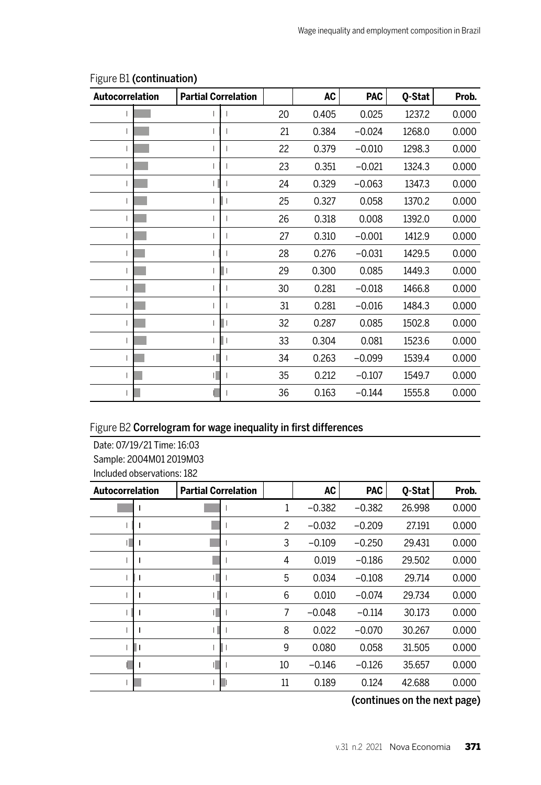| <b>Autocorrelation</b> | <b>Partial Correlation</b> |    | AC    | <b>PAC</b> | Q-Stat | Prob. |
|------------------------|----------------------------|----|-------|------------|--------|-------|
|                        |                            | 20 | 0.405 | 0.025      | 1237.2 | 0.000 |
|                        |                            | 21 | 0.384 | $-0.024$   | 1268.0 | 0.000 |
| $\mathbf{I}$           |                            | 22 | 0.379 | $-0.010$   | 1298.3 | 0.000 |
|                        |                            | 23 | 0.351 | $-0.021$   | 1324.3 | 0.000 |
|                        |                            | 24 | 0.329 | $-0.063$   | 1347.3 | 0.000 |
|                        |                            | 25 | 0.327 | 0.058      | 1370.2 | 0.000 |
|                        |                            | 26 | 0.318 | 0.008      | 1392.0 | 0.000 |
|                        |                            | 27 | 0.310 | $-0.001$   | 1412.9 | 0.000 |
|                        |                            | 28 | 0.276 | $-0.031$   | 1429.5 | 0.000 |
|                        |                            | 29 | 0.300 | 0.085      | 1449.3 | 0.000 |
|                        |                            | 30 | 0.281 | $-0.018$   | 1466.8 | 0.000 |
|                        |                            | 31 | 0.281 | $-0.016$   | 1484.3 | 0.000 |
|                        |                            | 32 | 0.287 | 0.085      | 1502.8 | 0.000 |
|                        |                            | 33 | 0.304 | 0.081      | 1523.6 | 0.000 |
|                        |                            | 34 | 0.263 | $-0.099$   | 1539.4 | 0.000 |
|                        |                            | 35 | 0.212 | $-0.107$   | 1549.7 | 0.000 |
|                        |                            | 36 | 0.163 | $-0.144$   | 1555.8 | 0.000 |

#### Figure B1 (continuation)

### Figure B2 Correlogram for wage inequality in first differences

Date: 07/19/21 Time: 16:03 Sample: 2004M01 2019M03 Included observations: 182

| Autocorrelation | <b>Partial Correlation</b> |    | <b>AC</b> | <b>PAC</b> | 0-Stat | Prob. |
|-----------------|----------------------------|----|-----------|------------|--------|-------|
|                 |                            | 1  | $-0.382$  | $-0.382$   | 26.998 | 0.000 |
|                 |                            | 2  | $-0.032$  | $-0.209$   | 27.191 | 0.000 |
|                 |                            | 3  | $-0.109$  | $-0.250$   | 29.431 | 0.000 |
|                 |                            | 4  | 0.019     | $-0.186$   | 29.502 | 0.000 |
|                 |                            | 5  | 0.034     | $-0.108$   | 29.714 | 0.000 |
|                 |                            | 6  | 0.010     | $-0.074$   | 29.734 | 0.000 |
|                 |                            | 7  | $-0.048$  | $-0.114$   | 30.173 | 0.000 |
|                 |                            | 8  | 0.022     | $-0.070$   | 30.267 | 0.000 |
|                 |                            | 9  | 0.080     | 0.058      | 31.505 | 0.000 |
|                 |                            | 10 | $-0.146$  | $-0.126$   | 35.657 | 0.000 |
|                 |                            | 11 | 0.189     | 0.124      | 42.688 | 0.000 |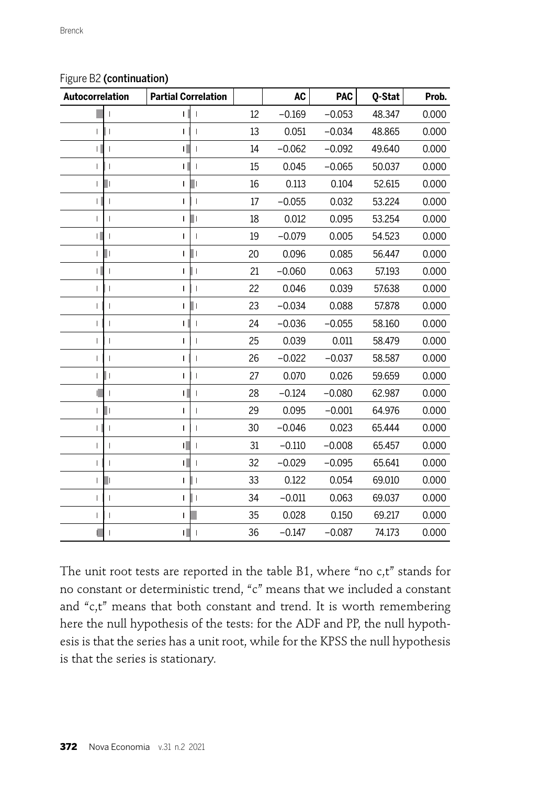| Autocorrelation   | <b>Partial Correlation</b>    |    | <b>AC</b> | <b>PAC</b> | Q-Stat | Prob. |
|-------------------|-------------------------------|----|-----------|------------|--------|-------|
|                   | T                             | 12 | $-0.169$  | $-0.053$   | 48.347 | 0.000 |
|                   | $\overline{1}$                | 13 | 0.051     | $-0.034$   | 48.865 | 0.000 |
| T                 | T                             | 14 | $-0.062$  | $-0.092$   | 49.640 | 0.000 |
| ı                 |                               | 15 | 0.045     | $-0.065$   | 50.037 | 0.000 |
| т                 | ш<br>$\mathbf{I}$             | 16 | 0.113     | 0.104      | 52.615 | 0.000 |
|                   | I                             | 17 | $-0.055$  | 0.032      | 53.224 | 0.000 |
| T<br>I            | Ш<br>$\mathsf{I}$             | 18 | 0.012     | 0.095      | 53.254 | 0.000 |
| $\mathbf{L}$      | I                             | 19 | $-0.079$  | 0.005      | 54.523 | 0.000 |
| П<br>T            | н                             | 20 | 0.096     | 0.085      | 56.447 | 0.000 |
|                   | I                             | 21 | $-0.060$  | 0.063      | 57.193 | 0.000 |
| ı                 | I                             | 22 | 0.046     | 0.039      | 57.638 | 0.000 |
| $\mathsf{I}$      |                               | 23 | $-0.034$  | 0.088      | 57.878 | 0.000 |
| ı                 | I                             | 24 | $-0.036$  | $-0.055$   | 58.160 | 0.000 |
| I                 | I                             | 25 | 0.039     | 0.011      | 58.479 | 0.000 |
| T                 | I                             | 26 | $-0.022$  | $-0.037$   | 58.587 | 0.000 |
| Ш<br>$\mathbf{I}$ | $\overline{1}$<br>1           | 27 | 0.070     | 0.026      | 59.659 | 0.000 |
|                   | T                             | 28 | $-0.124$  | $-0.080$   | 62.987 | 0.000 |
| Ш<br>I            | I                             | 29 | 0.095     | $-0.001$   | 64.976 | 0.000 |
| T                 | T                             | 30 | $-0.046$  | 0.023      | 65.444 | 0.000 |
| ı                 | Ш                             | 31 | $-0.110$  | $-0.008$   | 65.457 | 0.000 |
| т                 | т<br>Ш                        | 32 | $-0.029$  | $-0.095$   | 65.641 | 0.000 |
| T                 | ı                             | 33 | 0.122     | 0.054      | 69.010 | 0.000 |
| $\mathsf{I}$      | I<br>$\overline{\phantom{a}}$ | 34 | $-0.011$  | 0.063      | 69.037 | 0.000 |
| Т                 |                               | 35 | 0.028     | 0.150      | 69.217 | 0.000 |
|                   | Ш<br>I                        | 36 | $-0.147$  | $-0.087$   | 74.173 | 0.000 |

#### Figure B2 (continuation)

The unit root tests are reported in the table B1, where "no c,t" stands for no constant or deterministic trend, "c" means that we included a constant and "c,t" means that both constant and trend. It is worth remembering here the null hypothesis of the tests: for the ADF and PP, the null hypothesis is that the series has a unit root, while for the KPSS the null hypothesis is that the series is stationary.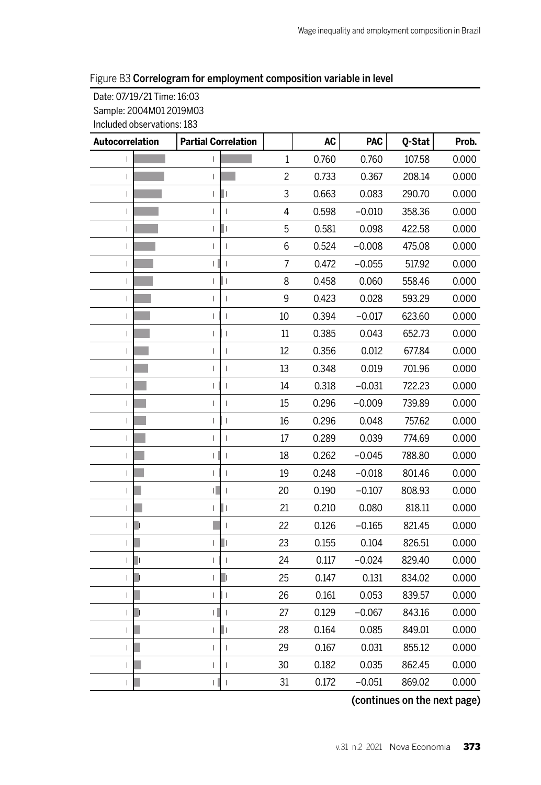#### Figure B3 Correlogram for employment composition variable in level

Date: 07/19/21 Time: 16:03 Sample: 2004M01 2019M03 Included observations: 183

| Autocorrelation          | <b>Partial Correlation</b>                 |                | <b>AC</b> | <b>PAC</b> | Q-Stat | Prob. |
|--------------------------|--------------------------------------------|----------------|-----------|------------|--------|-------|
| $\mathsf{I}$             | $\mathbf{I}$                               | $\mathbf{1}$   | 0.760     | 0.760      | 107.58 | 0.000 |
| $\mathsf I$              | I                                          | $\overline{c}$ | 0.733     | 0.367      | 208.14 | 0.000 |
| $\overline{1}$           | Ш<br>$\overline{1}$                        | 3              | 0.663     | 0.083      | 290.70 | 0.000 |
| $\overline{\phantom{a}}$ | $\overline{1}$<br>T                        | 4              | 0.598     | $-0.010$   | 358.36 | 0.000 |
| T                        | п<br>I                                     | 5              | 0.581     | 0.098      | 422.58 | 0.000 |
| $\mathsf I$              | L<br>$\overline{1}$                        | 6              | 0.524     | $-0.008$   | 475.08 | 0.000 |
| $\overline{1}$           | $\overline{1}$<br>г                        | $\overline{7}$ | 0.472     | $-0.055$   | 517.92 | 0.000 |
| T                        | $\begin{array}{c} \hline \end{array}$<br>I | 8              | 0.458     | 0.060      | 558.46 | 0.000 |
| T                        | T<br>I                                     | 9              | 0.423     | 0.028      | 593.29 | 0.000 |
| $\mathsf I$              | $\overline{1}$<br>$\mathbf{I}$             | 10             | 0.394     | $-0.017$   | 623.60 | 0.000 |
| $\mathsf{I}$             | $\overline{\phantom{a}}$<br>I              | 11             | 0.385     | 0.043      | 652.73 | 0.000 |
| $\overline{1}$           | $\mathsf{I}$                               | 12             | 0.356     | 0.012      | 677.84 | 0.000 |
| L                        | T<br>ı                                     | 13             | 0.348     | 0.019      | 701.96 | 0.000 |
| T                        | $\mathsf{I}$<br>$\overline{1}$             | 14             | 0.318     | $-0.031$   | 722.23 | 0.000 |
| T                        | $\overline{1}$<br>I                        | 15             | 0.296     | $-0.009$   | 739.89 | 0.000 |
| $\mathsf{I}$             | $\mathbf{I}$<br>I                          | 16             | 0.296     | 0.048      | 757.62 | 0.000 |
| I                        | $\overline{1}$                             | 17             | 0.289     | 0.039      | 774.69 | 0.000 |
| I                        | I<br>I                                     | 18             | 0.262     | $-0.045$   | 788.80 | 0.000 |
| $\mathbf{I}$             | T<br>T                                     | 19             | 0.248     | $-0.018$   | 801.46 | 0.000 |
| T                        | $\overline{1}$                             | 20             | 0.190     | $-0.107$   | 808.93 | 0.000 |
| $\mathsf{I}$             | Ш<br>I                                     | 21             | 0.210     | 0.080      | 818.11 | 0.000 |
| $\mathbf{I}$             | $\mathsf I$                                | 22             | 0.126     | $-0.165$   | 821.45 | 0.000 |
| $\mathbf{I}$             | L۱<br>$\mathbf{I}$                         | 23             | 0.155     | 0.104      | 826.51 | 0.000 |
| $\mathbf{I}$             | I<br>ı                                     | 24             | 0.117     | $-0.024$   | 829.40 | 0.000 |
| $\mathbf{I}$             | J.<br>$\overline{1}$                       | 25             | 0.147     | 0.131      | 834.02 | 0.000 |
| $\overline{1}$           | l I<br>$\mathbf{I}$                        | 26             | 0.161     | 0.053      | 839.57 | 0.000 |
| $\mathbf{I}$             | $\overline{\phantom{a}}$<br>П              | 27             | 0.129     | $-0.067$   | 843.16 | 0.000 |
| ı                        | Ш<br>I                                     | 28             | 0.164     | 0.085      | 849.01 | 0.000 |
| $\mathsf{I}$             | $\mathsf{I}$<br>$\overline{1}$             | 29             | 0.167     | 0.031      | 855.12 | 0.000 |
| T                        | T<br>I                                     | 30             | 0.182     | 0.035      | 862.45 | 0.000 |
|                          | $\mathsf{I}$                               | 31             | 0.172     | $-0.051$   | 869.02 | 0.000 |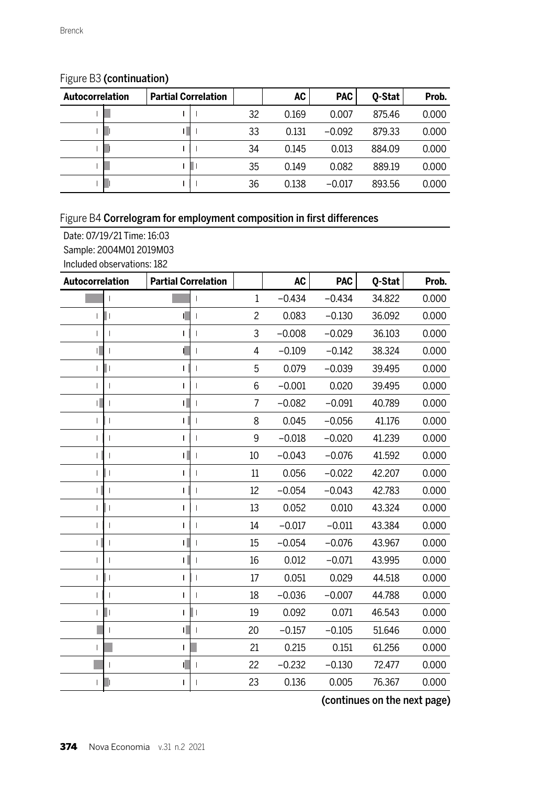| Autocorrelation | <b>Partial Correlation</b> |    | AC    | <b>PAC</b> | 0-Stat | Prob. |
|-----------------|----------------------------|----|-------|------------|--------|-------|
|                 |                            | 32 | 0.169 | 0.007      | 875.46 | 0.000 |
|                 |                            | 33 | 0.131 | $-0.092$   | 879.33 | 0.000 |
|                 |                            | 34 | 0.145 | 0.013      | 884.09 | 0.000 |
|                 |                            | 35 | 0.149 | 0.082      | 889.19 | 0.000 |
|                 |                            | 36 | 0.138 | $-0.017$   | 893.56 | 0.000 |

### Figure B3 (continuation)

## Figure B4 Correlogram for employment composition in first differences

Date: 07/19/21 Time: 16:03

Sample: 2004M01 2019M03

Included observations: 182

| Autocorrelation               | <b>Partial Correlation</b> |                | <b>AC</b> | <b>PAC</b> | 0-Stat | Prob. |
|-------------------------------|----------------------------|----------------|-----------|------------|--------|-------|
|                               | I                          | $\mathbf{1}$   | $-0.434$  | $-0.434$   | 34.822 | 0.000 |
| Π.<br>T                       | I                          | $\overline{c}$ | 0.083     | $-0.130$   | 36.092 | 0.000 |
|                               | ı                          | 3              | $-0.008$  | $-0.029$   | 36.103 | 0.000 |
|                               | I                          | 4              | $-0.109$  | $-0.142$   | 38.324 | 0.000 |
| П<br>ı                        | T                          | 5              | 0.079     | $-0.039$   | 39.495 | 0.000 |
| ı                             | T                          | 6              | $-0.001$  | 0.020      | 39.495 | 0.000 |
| П                             | I                          | 7              | $-0.082$  | $-0.091$   | 40.789 | 0.000 |
| ı                             | ı                          | 8              | 0.045     | $-0.056$   | 41.176 | 0.000 |
| T                             | I                          | 9              | $-0.018$  | $-0.020$   | 41.239 | 0.000 |
| ı                             | T                          | 10             | $-0.043$  | $-0.076$   | 41.592 | 0.000 |
|                               | ı                          | 11             | 0.056     | $-0.022$   | 42.207 | 0.000 |
|                               | I                          | 12             | $-0.054$  | $-0.043$   | 42.783 | 0.000 |
| ı<br>$\mathsf{l}$             | I                          | 13             | 0.052     | 0.010      | 43.324 | 0.000 |
|                               | I                          | 14             | $-0.017$  | $-0.011$   | 43.384 | 0.000 |
|                               | T                          | 15             | $-0.054$  | $-0.076$   | 43.967 | 0.000 |
| T                             | I                          | 16             | 0.012     | $-0.071$   | 43.995 | 0.000 |
| T<br>$\overline{\phantom{a}}$ | T                          | 17             | 0.051     | 0.029      | 44.518 | 0.000 |
| ı                             | I                          | 18             | $-0.036$  | $-0.007$   | 44.788 | 0.000 |
| П                             | ı                          | 19             | 0.092     | 0.071      | 46.543 | 0.000 |
|                               | T                          | 20             | $-0.157$  | $-0.105$   | 51.646 | 0.000 |
| ш                             |                            | 21             | 0.215     | 0.151      | 61.256 | 0.000 |
|                               | I                          | 22             | $-0.232$  | $-0.130$   | 72.477 | 0.000 |
|                               | т                          | 23             | 0.136     | 0.005      | 76.367 | 0.000 |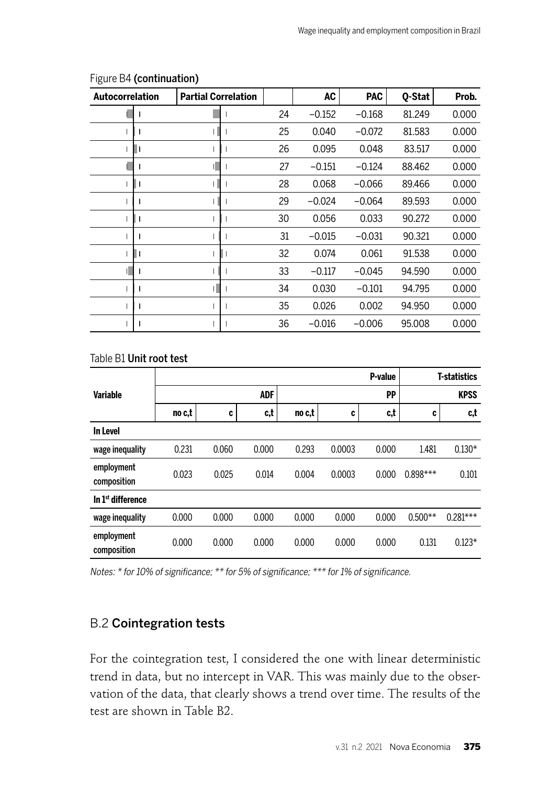| Autocorrelation | <b>Partial Correlation</b> |    | <b>AC</b> | PAC      | 0-Stat | Prob. |
|-----------------|----------------------------|----|-----------|----------|--------|-------|
|                 |                            | 24 | $-0.152$  | $-0.168$ | 81.249 | 0.000 |
|                 |                            | 25 | 0.040     | $-0.072$ | 81.583 | 0.000 |
|                 |                            | 26 | 0.095     | 0.048    | 83.517 | 0.000 |
|                 |                            | 27 | $-0.151$  | $-0.124$ | 88.462 | 0.000 |
|                 |                            | 28 | 0.068     | $-0.066$ | 89.466 | 0.000 |
|                 |                            | 29 | $-0.024$  | $-0.064$ | 89.593 | 0.000 |
|                 |                            | 30 | 0.056     | 0.033    | 90.272 | 0.000 |
|                 |                            | 31 | $-0.015$  | $-0.031$ | 90.321 | 0.000 |
|                 |                            | 32 | 0.074     | 0.061    | 91.538 | 0.000 |
|                 |                            | 33 | $-0.117$  | $-0.045$ | 94.590 | 0.000 |
|                 |                            | 34 | 0.030     | $-0.101$ | 94.795 | 0.000 |
|                 |                            | 35 | 0.026     | 0.002    | 94.950 | 0.000 |
|                 |                            | 36 | $-0.016$  | $-0.006$ | 95.008 | 0.000 |

#### Figure B4 (continuation)

#### Table B1 Unit root test

|                               |        |       |       |        |        | P-value |            | <b>T-statistics</b> |
|-------------------------------|--------|-------|-------|--------|--------|---------|------------|---------------------|
| <b>Variable</b>               |        |       | ADF   |        |        | PP      |            | <b>KPSS</b>         |
|                               | no c,t | C     | c,t   | no c,t | C      | c,t     | C          | c,t                 |
| In Level                      |        |       |       |        |        |         |            |                     |
| wage inequality               | 0.231  | 0.060 | 0.000 | 0.293  | 0.0003 | 0.000   | 1.481      | $0.130*$            |
| employment<br>composition     | 0.023  | 0.025 | 0.014 | 0.004  | 0.0003 | 0.000   | $0.898***$ | 0.101               |
| In 1 <sup>st</sup> difference |        |       |       |        |        |         |            |                     |
| wage inequality               | 0.000  | 0.000 | 0.000 | 0.000  | 0.000  | 0.000   | $0.500**$  | $0.281***$          |
| employment<br>composition     | 0.000  | 0.000 | 0.000 | 0.000  | 0.000  | 0.000   | 0.131      | $0.123*$            |

Notes: \* for 10% of significance; \*\* for 5% of significance; \*\*\* for 1% of significance.

### B.2 Cointegration tests

For the cointegration test, I considered the one with linear deterministic trend in data, but no intercept in VAR. This was mainly due to the observation of the data, that clearly shows a trend over time. The results of the test are shown in Table B2.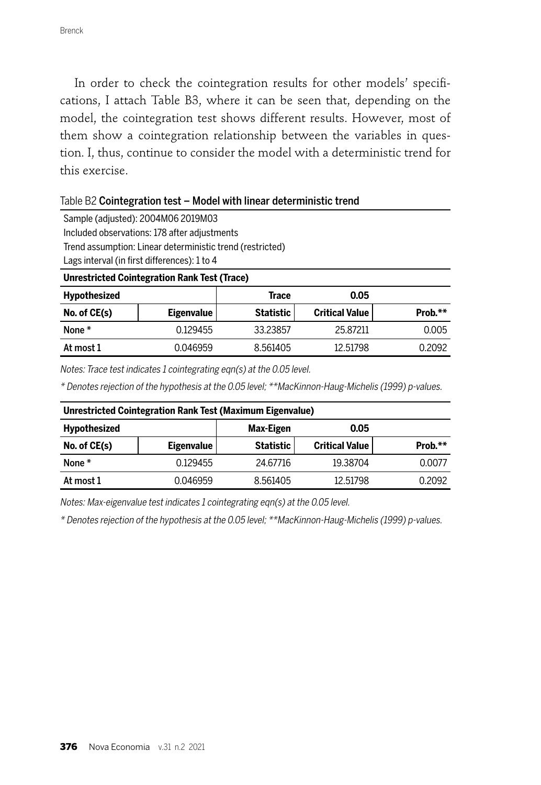In order to check the cointegration results for other models' specifications, I attach Table B3, where it can be seen that, depending on the model, the cointegration test shows different results. However, most of them show a cointegration relationship between the variables in question. I, thus, continue to consider the model with a deterministic trend for this exercise.

#### Table B2 Cointegration test – Model with linear deterministic trend

Sample (adjusted): 2004M06 2019M03 Included observations: 178 after adjustments Trend assumption: Linear deterministic trend (restricted) Lags interval (in first differences): 1 to 4

**Unrestricted Cointegration Rank Test (Trace)**

| Hypothesized |                   | Trace     | 0.05                  |         |
|--------------|-------------------|-----------|-----------------------|---------|
| No. of CE(s) | <b>Eigenvalue</b> | Statistic | <b>Critical Value</b> | Prob.** |
| None *       | 0.129455          | 33.23857  | 25.87211              | 0.005   |
| At most 1    | 0.046959          | 8.561405  | 12.51798              | 0.2092  |

Notes: Trace test indicates 1 cointegrating eqn(s) at the 0.05 level.

\* Denotes rejection of the hypothesis at the 0.05 level; \*\*MacKinnon-Haug-Michelis (1999) p-values.

| Unrestricted Cointegration Rank Test (Maximum Eigenvalue) |                   |           |                       |         |  |  |  |
|-----------------------------------------------------------|-------------------|-----------|-----------------------|---------|--|--|--|
| <b>Hypothesized</b>                                       |                   | Max-Eigen | 0.05                  |         |  |  |  |
| No. of CE(s)                                              | <b>Eigenvalue</b> | Statistic | <b>Critical Value</b> | Prob.** |  |  |  |
| None $*$                                                  | 0.129455          | 24.67716  | 19.38704              | 0.0077  |  |  |  |
| At most 1                                                 | 0.046959          | 8.561405  | 12.51798              | 0.2092  |  |  |  |

Notes: Max-eigenvalue test indicates 1 cointegrating eqn(s) at the 0.05 level.

\* Denotes rejection of the hypothesis at the 0.05 level; \*\*MacKinnon-Haug-Michelis (1999) p-values.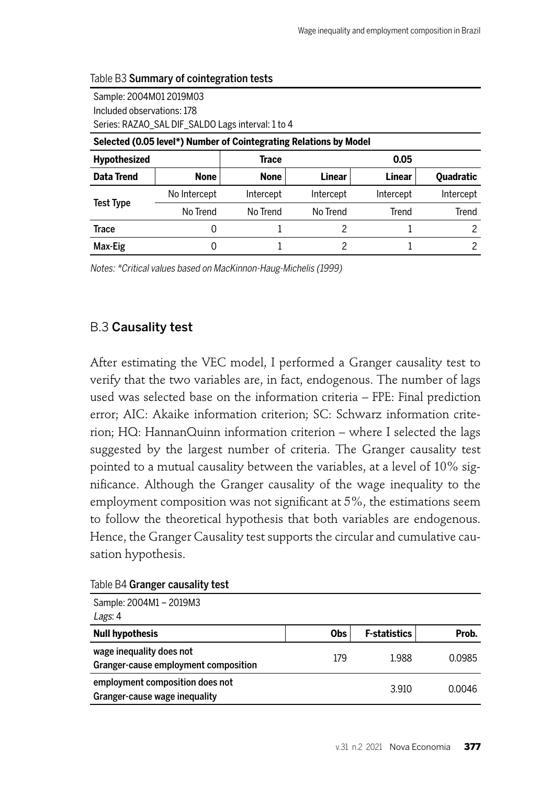| Series: RAZAO SAL DIF SALDO Lags interval: 1 to 4                 |              |             |           |           |                  |  |  |  |  |
|-------------------------------------------------------------------|--------------|-------------|-----------|-----------|------------------|--|--|--|--|
| Selected (0.05 level*) Number of Cointegrating Relations by Model |              |             |           |           |                  |  |  |  |  |
| <b>Hypothesized</b>                                               |              | Trace       |           | 0.05      |                  |  |  |  |  |
| Data Trend                                                        | <b>None</b>  | <b>None</b> | Linear    | Linear    | <b>Quadratic</b> |  |  |  |  |
|                                                                   | No Intercept | Intercept   | Intercept | Intercept | Intercept        |  |  |  |  |
| <b>Test Type</b>                                                  | No Trend     | No Trend    | No Trend  | Trend     | Trend            |  |  |  |  |
| Trace                                                             | 0            |             | 2         |           |                  |  |  |  |  |
| Max-Eig                                                           | O            |             | 2         |           |                  |  |  |  |  |
|                                                                   |              |             |           |           |                  |  |  |  |  |

#### Table B3 Summary of cointegration tests

Sample: 2004M01 2019M03 Included observations: 178

Notes: \*Critical values based on MacKinnon-Haug-Michelis (1999)

## B.3 Causality test

After estimating the VEC model, I performed a Granger causality test to verify that the two variables are, in fact, endogenous. The number of lags used was selected base on the information criteria – FPE: Final prediction error; AIC: Akaike information criterion; SC: Schwarz information criterion; HQ: HannanQuinn information criterion – where I selected the lags suggested by the largest number of criteria. The Granger causality test pointed to a mutual causality between the variables, at a level of 10% significance. Although the Granger causality of the wage inequality to the employment composition was not significant at  $5\%$ , the estimations seem to follow the theoretical hypothesis that both variables are endogenous. Hence, the Granger Causality test supports the circular and cumulative causation hypothesis.

|  | Table B4 Granger causality test |
|--|---------------------------------|
|--|---------------------------------|

| Sample: 2004M1 - 2019M3                                          |            |                     |        |
|------------------------------------------------------------------|------------|---------------------|--------|
| Lags: 4                                                          |            |                     |        |
| <b>Null hypothesis</b>                                           | <b>Obs</b> | <b>F-statistics</b> | Prob.  |
| wage inequality does not<br>Granger-cause employment composition | 179        | 1.988               | 0.0985 |
| employment composition does not<br>Granger-cause wage inequality |            | 3.910               | 0.0046 |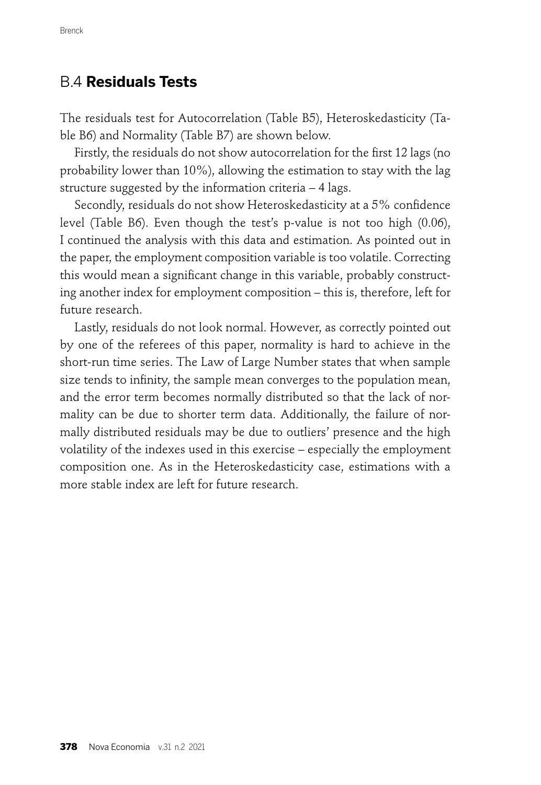## B.4 **Residuals Tests**

The residuals test for Autocorrelation (Table B5), Heteroskedasticity (Table B6) and Normality (Table B7) are shown below.

Firstly, the residuals do not show autocorrelation for the first 12 lags (no probability lower than 10%), allowing the estimation to stay with the lag structure suggested by the information criteria – 4 lags.

Secondly, residuals do not show Heteroskedasticity at a 5% confidence level (Table B6). Even though the test's p-value is not too high (0.06), I continued the analysis with this data and estimation. As pointed out in the paper, the employment composition variable is too volatile. Correcting this would mean a significant change in this variable, probably constructing another index for employment composition – this is, therefore, left for future research.

Lastly, residuals do not look normal. However, as correctly pointed out by one of the referees of this paper, normality is hard to achieve in the short-run time series. The Law of Large Number states that when sample size tends to infinity, the sample mean converges to the population mean, and the error term becomes normally distributed so that the lack of normality can be due to shorter term data. Additionally, the failure of normally distributed residuals may be due to outliers' presence and the high volatility of the indexes used in this exercise – especially the employment composition one. As in the Heteroskedasticity case, estimations with a more stable index are left for future research.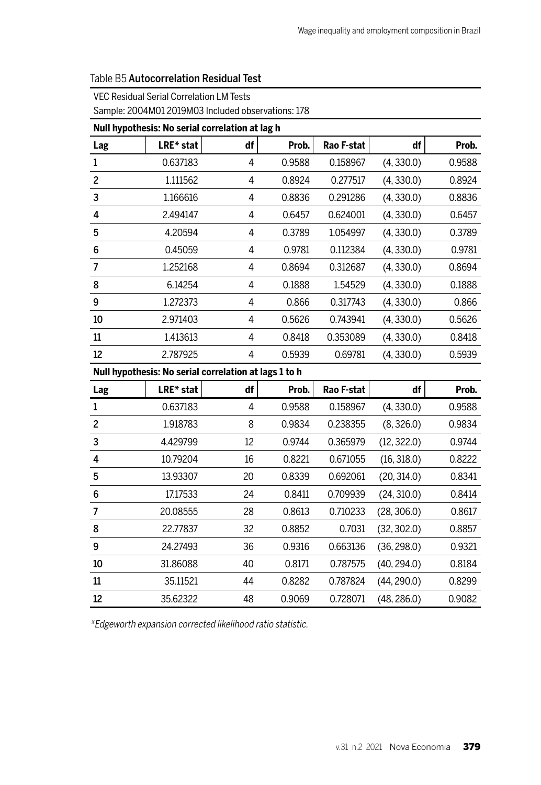|                | Null hypothesis: No serial correlation at lag h       |                |        |            |             |        |
|----------------|-------------------------------------------------------|----------------|--------|------------|-------------|--------|
| Lag            | LRE* stat                                             | df             | Prob.  | Rao F-stat | df          | Prob.  |
| 1              | 0.637183                                              | $\overline{4}$ | 0.9588 | 0.158967   | (4, 330.0)  | 0.9588 |
| $\overline{c}$ | 1.111562                                              | $\overline{4}$ | 0.8924 | 0.277517   | (4, 330.0)  | 0.8924 |
| 3              | 1.166616                                              | $\overline{4}$ | 0.8836 | 0.291286   | (4, 330.0)  | 0.8836 |
| 4              | 2.494147                                              | $\overline{4}$ | 0.6457 | 0.624001   | (4, 330.0)  | 0.6457 |
| 5              | 4.20594                                               | 4              | 0.3789 | 1.054997   | (4, 330.0)  | 0.3789 |
| 6              | 0.45059                                               | $\overline{4}$ | 0.9781 | 0.112384   | (4, 330.0)  | 0.9781 |
| 7              | 1.252168                                              | $\overline{4}$ | 0.8694 | 0.312687   | (4, 330.0)  | 0.8694 |
| 8              | 6.14254                                               | 4              | 0.1888 | 1.54529    | (4, 330.0)  | 0.1888 |
| 9              | 1.272373                                              | $\overline{4}$ | 0.866  | 0.317743   | (4, 330.0)  | 0.866  |
| 10             | 2.971403                                              | 4              | 0.5626 | 0.743941   | (4, 330.0)  | 0.5626 |
| 11             | 1.413613                                              | 4              | 0.8418 | 0.353089   | (4, 330.0)  | 0.8418 |
| 12             | 2.787925                                              | 4              | 0.5939 | 0.69781    | (4, 330.0)  | 0.5939 |
|                | Null hypothesis: No serial correlation at lags 1 to h |                |        |            |             |        |
| Lag            | LRE* stat                                             | df             | Prob.  | Rao F-stat | df          | Prob.  |
| $\mathbf{1}$   | 0.637183                                              | $\overline{4}$ | 0.9588 | 0.158967   | (4, 330.0)  | 0.9588 |
| 2              | 1.918783                                              | 8              | 0.9834 | 0.238355   | (8, 326.0)  | 0.9834 |
| 3              | 4.429799                                              | 12             | 0.9744 | 0.365979   | (12, 322.0) | 0.9744 |
| 4              | 10.79204                                              | 16             | 0.8221 | 0.671055   | (16, 318.0) | 0.8222 |
| 5              | 13.93307                                              | 20             | 0.8339 | 0.692061   | (20, 314.0) | 0.8341 |
| 6              | 17.17533                                              | 24             | 0.8411 | 0.709939   | (24, 310.0) | 0.8414 |
| 7              | 20.08555                                              | 28             | 0.8613 | 0.710233   | (28, 306.0) | 0.8617 |
| 8              | 22.77837                                              | 32             | 0.8852 | 0.7031     | (32, 302.0) | 0.8857 |
| 9              | 24.27493                                              | 36             | 0.9316 | 0.663136   | (36, 298.0) | 0.9321 |
| 10             | 31.86088                                              | 40             | 0.8171 | 0.787575   | (40, 294.0) | 0.8184 |
| 11             | 35.11521                                              | 44             | 0.8282 | 0.787824   | (44, 290.0) | 0.8299 |
| 12             | 35.62322                                              | 48             | 0.9069 | 0.728071   | (48, 286.0) | 0.9082 |

### Table B5 Autocorrelation Residual Test

#### VEC Residual Serial Correlation LM Tests

Sample: 2004M01 2019M03 Included observations: 178

\*Edgeworth expansion corrected likelihood ratio statistic.